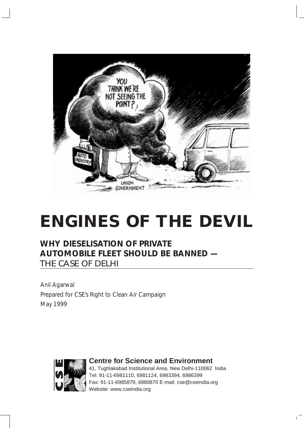

## **ENGINES OF THE DEVIL**

#### **WHY DIESELISATION OF PRIVATE AUTOMOBILE FLEET SHOULD BE BANNED —** THE CASE OF DELHI

Anil Agarwal Prepared for CSE's Right to Clean Air Campaign May 1999



**Centre for Science and Environment** 41, Tughlakabad Institutional Area, New Delhi-110062 India Tel: 91-11-6981110, 6981124, 6983394, 6986399

Fax: 91-11-6985879, 6980870 E-mail: cse@cseindia.org Website: www.cseindia.org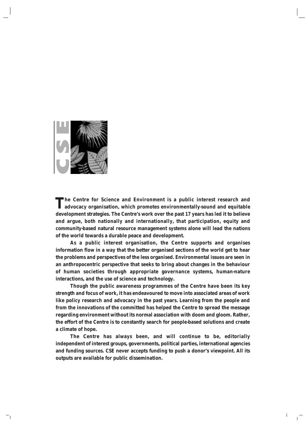

**The Centre for Science and Environment is a public interest research and advocacy organisation, which promotes environmentally-sound and equitable development strategies. The Centre's work over the past 17 years has led it to believe and argue, both nationally and internationally, that participation, equity and community-based natural resource management systems alone will lead the nations of the world towards a durable peace and development.**

**As a public interest organisation, the Centre supports and organises information flow in a way that the better organised sections of the world get to hear the problems and perspectives of the less organised. Environmental issues are seen in an anthropocentric perspective that seeks to bring about changes in the behaviour of human societies through appropriate governance systems, human-nature interactions, and the use of science and technology.**

**Though the public awareness programmes of the Centre have been its key strength and focus of work, it has endeavoured to move into associated areas of work like policy research and advocacy in the past years. Learning from the people and from the innovations of the committed has helped the Centre to spread the message regarding environment without its normal association with doom and gloom. Rather, the effort of the Centre is to constantly search for people-based solutions and create a climate of hope.**

**The Centre has always been, and will continue to be, editorially independent of interest groups, governments, political parties, international agencies and funding sources. CSE never accepts funding to push a donor's viewpoint. All its outputs are available for public dissemination.**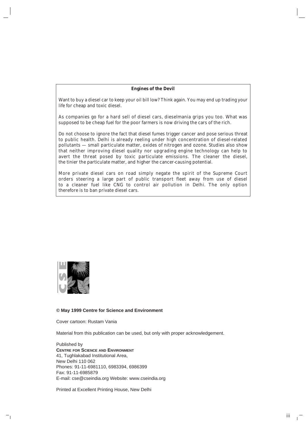#### **Engines of the Devil**

Want to buy a diesel car to keep your oil bill low? Think again. You may end up trading your life for cheap and toxic diesel.

As companies go for a hard sell of diesel cars, dieselmania grips you too. What was supposed to be cheap fuel for the poor farmers is now driving the cars of the rich.

Do not choose to ignore the fact that diesel fumes trigger cancer and pose serious threat to public health. Delhi is already reeling under high concentration of diesel-related pollutants — small particulate matter, oxides of nitrogen and ozone. Studies also show that neither improving diesel quality nor upgrading engine technology can help to avert the threat posed by toxic particulate emissions. The cleaner the diesel, the tinier the particulate matter, and higher the cancer-causing potential.

More private diesel cars on road simply negate the spirit of the Supreme Court orders steering a large part of public transport fleet away from use of diesel to a cleaner fuel like CNG to control air pollution in Delhi. The only option therefore is to ban private diesel cars.



#### **© May 1999 Centre for Science and Environment**

Cover cartoon: Rustam Vania

Material from this publication can be used, but only with proper acknowledgement.

Published by **CENTRE FOR SCIENCE AND ENVIRONMENT** 41, Tughlakabad Institutional Area, New Delhi 110 062 Phones: 91-11-6981110, 6983394, 6986399 Fax: 91-11-6985879 E-mail: cse@cseindia.org Website: www.cseindia.org

Printed at Excellent Printing House, New Delhi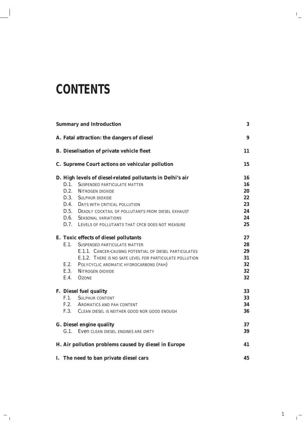#### **CONTENTS**

| <b>Summary and Introduction</b><br>3 |                                                            |    |  |  |
|--------------------------------------|------------------------------------------------------------|----|--|--|
|                                      | A. Fatal attraction: the dangers of diesel                 | 9  |  |  |
|                                      | <b>B.</b> Dieselisation of private vehicle fleet           | 11 |  |  |
|                                      | C. Supreme Court actions on vehicular pollution            | 15 |  |  |
|                                      | D. High levels of diesel-related pollutants in Delhi's air | 16 |  |  |
| $D.1$ .                              | SUSPENDED PARTICULATE MATTER                               | 16 |  |  |
|                                      | D.2. NITROGEN DIOXIDE                                      | 20 |  |  |
|                                      | D.3. SULPHUR DIOXIDE                                       | 22 |  |  |
|                                      | D.4. DAYS WITH CRITICAL POLLUTION                          | 23 |  |  |
|                                      | D.5. DEADLY COCKTAIL OF POLLUTANTS FROM DIESEL EXHAUST     | 24 |  |  |
|                                      | D.6. SEASONAL VARIATIONS                                   | 24 |  |  |
|                                      | D.7. LEVELS OF POLLUTANTS THAT CPCB DOES NOT MEASURE       | 25 |  |  |
|                                      | E. Toxic effects of diesel pollutants                      | 27 |  |  |
| E.1                                  | <b>SUSPENDED PARTICULATE MATTER</b>                        | 28 |  |  |
|                                      | E.1.1. CANCER-CAUSING POTENTIAL OF DIESEL PARTICULATES     | 29 |  |  |
|                                      | E.1.2. THERE IS NO SAFE LEVEL FOR PARTICULATE POLLUTION    | 31 |  |  |
|                                      | E.2. POLYCYCLIC AROMATIC HYDROCARBONS (PAH)                | 32 |  |  |
|                                      | E.3. NITROGEN DIOXIDE                                      | 32 |  |  |
| E.4.                                 | <b>OZONE</b>                                               | 32 |  |  |
|                                      | F. Diesel fuel quality                                     | 33 |  |  |
| F.1.                                 | <b>SULPHUR CONTENT</b>                                     | 33 |  |  |
|                                      | F.2. AROMATICS AND PAH CONTENT                             | 34 |  |  |
|                                      | F.3. CLEAN DIESEL IS NEITHER GOOD NOR GOOD ENOUGH          | 36 |  |  |
|                                      | G. Diesel engine quality                                   | 37 |  |  |
|                                      | G.1. Even CLEAN DIESEL ENGINES ARE DIRTY                   | 39 |  |  |
|                                      | H. Air pollution problems caused by diesel in Europe       | 41 |  |  |
|                                      | I. The need to ban private diesel cars                     | 45 |  |  |

1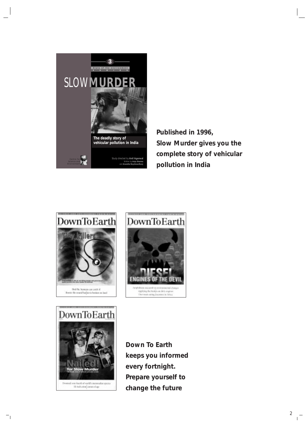

**Published in 1996, Slow Murder gives you the complete story of vehicular pollution in India**







*Down To Earth* **keeps you informed every fortnight. Prepare yourself to change the future**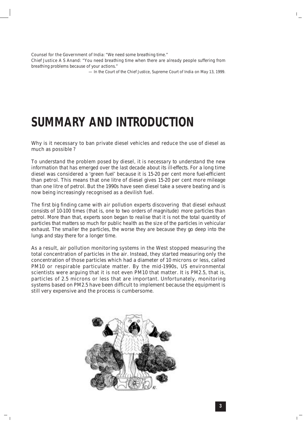Counsel for the Government of India: *"We need some breathing time."* Chief Justice A S Anand: *"You need breathing time when there are already people suffering from breathing problems because of your actions."* 

*— In the Court of the Chief Justice, Supreme Court of India on May 13, 1999.*

#### **SUMMARY AND INTRODUCTION**

Why is it necessary to ban private diesel vehicles and reduce the use of diesel as much as possible ?

*To understand the problem posed by diesel, it is necessary to understand the new information that has emerged over the last decade about its ill-effects.* For a long time diesel was considered a 'green fuel' because it is 15-20 per cent more fuel-efficient than petrol. This means that one litre of diesel gives 15-20 per cent more mileage than one litre of petrol. But the 1990s have seen diesel take a severe beating and is now being increasingly recognised as a devilish fuel.

*The first big finding came with air pollution experts discovering that diesel exhaust consists of 10-100 times (that is, one to two orders of magnitude) more particles than petrol. More than that, experts soon began to realise that it is not the total quantity of particles that matters so much for public health as the size of the particles in vehicular exhaust. The smaller the particles, the worse they are because they go deep into the lungs and stay there for a longer time.* 

As a result, air pollution monitoring systems in the West stopped measuring the total concentration of particles in the air. Instead, they started measuring only the concentration of those particles which had a diameter of 10 microns or less, called PM10 or respirable particulate matter. By the mid-1990s, US environmental scientists were arguing that it is not even PM10 that matter. It is PM2.5, that is, particles of 2.5 microns or less that are important. Unfortunately, monitoring systems based on PM2.5 have been difficult to implement because the equipment is still very expensive and the process is cumbersome.

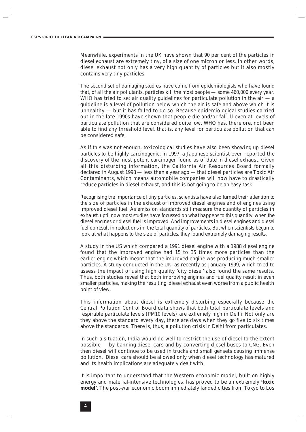Meanwhile, experiments in the UK have shown that 90 per cent of the particles in diesel exhaust are extremely tiny, of a size of one micron or less. In other words, diesel exhaust not only has a very high quantity of particles but it also mostly contains very tiny particles.

*The second set of damaging studies have come from epidemiologists who have found that, of all the air pollutants, particles kill the most people — some 460,000 every year.* WHO has tried to set air quality guidelines for particulate pollution in the air  $-a$ guideline is a level of pollution below which the air is safe and above which it is unhealthy — but it has failed to do so. Because epidemiological studies carried out in the late 1990s have shown that people die and/or fall ill even at levels of particulate pollution that are considered quite low. WHO has, therefore, not been able to find any threshold level, that is, any level for particulate pollution that can be considered safe.

*As if this was not enough, toxicological studies have also been showing up diesel particles to be highly carcinogenic.* In 1997, a Japanese scientist even reported the discovery of the most potent carcinogen found as of date in diesel exhaust. Given all this disturbing information, the California Air Resources Board formally declared in August 1998 — less than a year ago — that diesel particles are Toxic Air Contaminants, which means automobile companies will now have to drastically reduce particles in diesel exhaust, and this is not going to be an easy task.

*Recognising the importance of tiny particles, scientists have also turned their attention to the size of particles in the exhaust of improved diesel engines and of engines using improved diesel fuel. As emission standards still measure the quantity of particles in exhaust, uptil now most studies have focussed on what happens to this quantity when the diesel engines or diesel fuel is improved. And improvements in diesel engines and diesel fuel do result in reductions in the total quantity of particles. But when scientists began to look at what happens to the size of particles, they found extremely damaging results.* 

A study in the US which compared a 1991 diesel engine with a 1988 diesel engine found that the improved engine had 15 to 35 times more particles than the earlier engine which meant that the improved engine was producing much smaller particles. A study conducted in the UK, as recently as January 1999, which tried to assess the impact of using high quality 'city diesel' also found the same results. Thus, both studies reveal that both improving engines and fuel quality result in even smaller particles, making the resulting diesel exhaust even worse from a public health point of view.

*This information about diesel is extremely disturbing especially because the Central Pollution Control Board data shows that both total particulate levels and respirable particulate levels (PM10 levels) are extremely high in Delhi.* Not only are they above the standard every day, there are days when they go five to six times above the standards. There is, thus, a pollution crisis in Delhi from particulates.

In such a situation, India would do well to restrict the use of diesel to the extent possible — by banning diesel cars and by converting diesel buses to CNG. Even then diesel will continue to be used in trucks and small gensets causing immense pollution. Diesel cars should be allowed only when diesel technology has matured and its health implications are adequately dealt with.

It is important to understand that the Western economic model, built on highly energy and material-intensive technologies, has proved to be an extremely **'toxic model'**. The post-war economic boom immediately landed cities from Tokyo to Los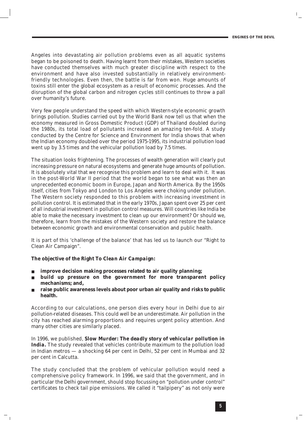Angeles into devastating air pollution problems even as all aquatic systems began to be poisoned to death. Having learnt from their mistakes, Western societies have conducted themselves with much greater discipline with respect to the environment and have also invested substantially in relatively environmentfriendly technologies. Even then, the battle is far from won. Huge amounts of toxins still enter the global ecosystem as a result of economic processes. And the disruption of the global carbon and nitrogen cycles still continues to throw a pall over humanity's future.

Very few people understand the speed with which Western-style economic growth brings pollution. Studies carried out by the World Bank now tell us that when the economy measured in Gross Domestic Product (GDP) of Thailand doubled during the 1980s, its total load of pollutants increased an amazing ten-fold. A study conducted by the Centre for Science and Environment for India shows that when the Indian economy doubled over the period 1975-1995, its industrial pollution load went up by 3.5 times and the vehicular pollution load by 7.5 times.

The situation looks frightening. The processes of wealth generation will clearly put increasing pressure on natural ecosystems and generate huge amounts of pollution. It is absolutely vital that we recognise this problem and learn to deal with it. It was in the post-World War II period that the world began to see what was then an unprecedented economic boom in Europe, Japan and North America. By the 1950s itself, cities from Tokyo and London to Los Angeles were choking under pollution. The Western society responded to this problem with increasing investment in pollution control. It is estimated that in the early 1970s, Japan spent over 25 per cent of all industrial investment in pollution control measures. Will countries like India be able to make the necessary investment to clean up our environment? Or should we, therefore, learn from the mistakes of the Western society and restore the balance between economic growth and environmental conservation and public health.

It is part of this 'challenge of the balance' that has led us to launch our "Right to Clean Air Campaign".

#### *The objective of the Right To Clean Air Campaign:*

- improve decision making processes related to air quality planning;
- **build up pressure on the government for more transparent policy mechanisms; and,**
- raise public awareness levels about poor urban air quality and risks to public **health.**

According to our calculations, one person dies every hour in Delhi due to air pollution-related diseases. This could well be an underestimate. Air pollution in the city has reached alarming proportions and requires urgent policy attention. And many other cities are similarly placed.

In 1996, we published, *Slow Murder: The deadly story of vehicular pollution in India.* The study revealed that vehicles contribute maximum to the pollution load in Indian metros — a shocking 64 per cent in Delhi, 52 per cent in Mumbai and 32 per cent in Calcutta.

The study concluded that the problem of vehicular pollution would need a comprehensive policy framework. In 1996, we said that the government, and in particular the Delhi government, should stop focussing on "pollution under control" certificates to check tail pipe emissions. We called it "tailpipery" as not only were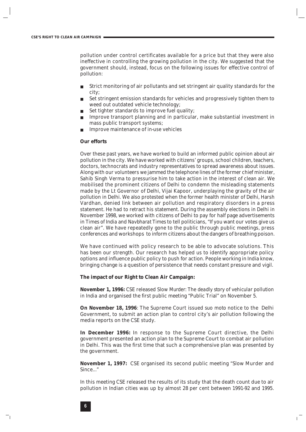pollution under control certificates available for a price but that they were also ineffective in controlling the growing pollution in the city. We suggested that the government should, instead, focus on the following issues for effective control of pollution:

- Strict monitoring of air pollutants and set stringent air quality standards for the city;
- Set stringent emission standards for vehicles and progressively tighten them to weed out outdated vehicle technology;
- Set tighter standards to improve fuel quality;
- Improve transport planning and in particular, make substantial investment in mass public transport systems;
- Improve maintenance of in-use vehicles

#### **Our efforts**

Over these past years, we have worked to build an informed public opinion about air pollution in the city. We have worked with citizens' groups, school children, teachers, doctors, technocrats and industry representatives to spread awareness about issues. Along with our volunteers we jammed the telephone lines of the former chief minister, Sahib Singh Verma to pressurise him to take action in the interest of clean air. We mobilised the prominent citizens of Delhi to condemn the misleading statements made by the Lt Governor of Delhi, Vijai Kapoor, underplaying the gravity of the air pollution in Delhi. We also protested when the former health minister of Delhi, Harsh Vardhan, denied link between air pollution and respiratory disorders in a press statement. He had to retract his statement. During the assembly elections in Delhi in November 1998, we worked with citizens of Delhi to pay for half page advertisements in *Times of India* and *Navbharat Times* to tell politicians, "If you want our votes give us clean air". We have repeatedly gone to the public through public meetings, press conferences and workshops to inform citizens about the dangers of breathing poison.

We have continued with policy research to be able to advocate solutions. This has been our strength. Our research has helped us to identify appropriate policy options and influence public policy to push for action. People working in India know, bringing change is a question of persistence that needs constant pressure and vigil.

#### **The impact of our Right to Clean Air Campaign:**

**November 1, 1996:** CSE released *Slow Murder*: *The deadly story of vehicular pollution in India* and organised the first public meeting "Public Trial" on November 5.

**On November 18, 1996**: The Supreme Court issued *suo moto* notice to the Delhi Government, to submit an action plan to control city's air pollution following the media reports on the CSE study.

**In December 1996:** In response to the Supreme Court directive, the Delhi government presented an action plan to the Supreme Court to combat air pollution in Delhi. This was the first time that such a comprehensive plan was presented by the government.

**November 1, 1997:** CSE organised its second public meeting "Slow Murder and Since..."

In this meeting CSE released the results of its study that the death count due to air pollution in Indian cities was up by almost 28 per cent between 1991-92 and 1995.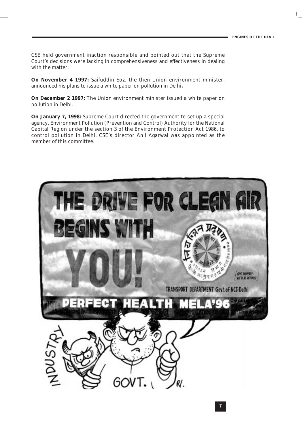CSE held government inaction responsible and pointed out that the Supreme Court's decisions were lacking in comprehensiveness and effectiveness in dealing with the matter.

**On November 4 1997:** Saifuddin Soz, the then Union environment minister, announced his plans to issue a white paper on pollution in Delhi**.** 

**On December 2 1997:** The Union environment minister issued a white paper on pollution in Delhi.

**On January 7, 1998:** Supreme Court directed the government to set up a special agency, Environment Pollution (Prevention and Control) Authority for the National Capital Region under the section 3 of the Environment Protection Act 1986, to control pollution in Delhi. CSE's director Anil Agarwal was appointed as the member of this committee.

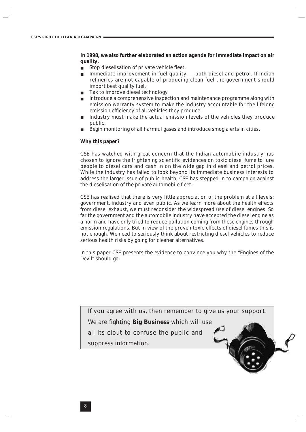**In 1998, we also further elaborated an action agenda for immediate impact on air quality.** 

- Stop dieselisation of private vehicle fleet.
- Immediate improvement in fuel quality  $-$  both diesel and petrol. If Indian refineries are not capable of producing clean fuel the government should import best quality fuel.
- Tax to improve diesel technology
- Introduce a comprehensive inspection and maintenance programme along with emission warranty system to make the industry accountable for the lifelong emission efficiency of all vehicles they produce.
- Industry must make the actual emission levels of the vehicles they produce public.
- Begin monitoring of all harmful gases and introduce smog alerts in cities.

#### **Why this paper?**

CSE has watched with great concern that the Indian automobile industry has chosen to ignore the frightening scientific evidences on toxic diesel fume to lure people to diesel cars and cash in on the wide gap in diesel and petrol prices. While the industry has failed to look beyond its immediate business interests to address the larger issue of public health, CSE has stepped in to campaign against the dieselisation of the private automobile fleet.

CSE has realised that there is very little appreciation of the problem at all levels: government, industry and even public. As we learn more about the health effects from diesel exhaust, we must reconsider the widespread use of diesel engines. So far the government and the automobile industry have accepted the diesel engine as a norm and have only tried to reduce pollution coming from these engines through emission regulations. But in view of the proven toxic effects of diesel fumes this is not enough. We need to seriously think about restricting diesel vehicles to reduce serious health risks by going for cleaner alternatives.

In this paper CSE presents the evidence to convince you why the "Engines of the Devil" should go.

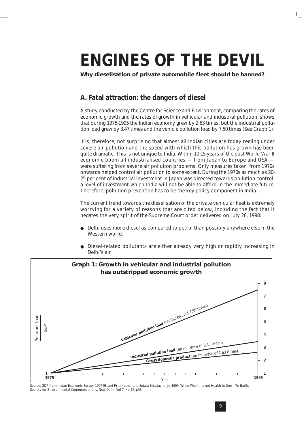## **ENGINES OF THE DEVIL**

*Why dieselisation of private automobile fleet should be banned?*

#### **A. Fatal attraction: the dangers of diesel**

A study conducted by the Centre for Science and Environment, comparing the rates of economic growth and the rates of growth in vehicular and industrial pollution, shows that during 1975-1995 the Indian economy grew by 2.63 times, but the industrial pollution load grew by 3.47 times and the vehicle pollution load by 7.50 times (See Graph 1).

It is, therefore, not surprising that almost all Indian cities are today reeling under severe air pollution and the speed with which this pollution has grown has been quite dramatic. This is not unique to India. Within 10-15 years of the post World War II economic boom all industrialised countries — from Japan to Europe and USA were suffering from severe air pollution problems. Only measures taken from 1970s onwards helped control air pollution to some extent. During the 1970s as much as 20- 25 per cent of industrial investment in Japan was directed towards pollution control, a level of investment which India will not be able to afford in the immediate future. Therefore, pollution prevention has to be the key policy component in India.

The current trend towards the dieselisation of the private vehicular fleet is extremely worrying for a variety of reasons that are cited below, including the fact that it negates the very spirit of the Supreme Court order delivered on July 28, 1998:

- Delhi uses more diesel as compared to petrol than possibly anywhere else in the Western world.
- Diesel-related pollutants are either already very high or rapidly increasing in Delhi's air.



*Source*: GDP from *Indian Economic Survey*, 1997-98 and Priti Kumar and Sujata Bhattacharya 1999, When Wealth is not Health in *Down To Earth*,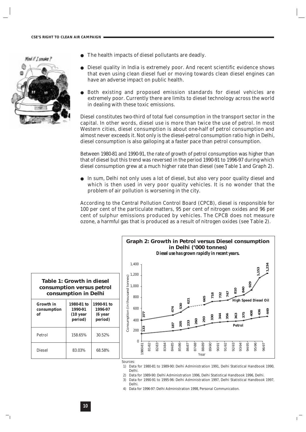Mind if I smoke?



- The health impacts of diesel pollutants are deadly.
- Diesel quality in India is extremely poor. And recent scientific evidence shows that even using clean diesel fuel or moving towards clean diesel engines can have an adverse impact on public health.
- Both existing and proposed emission standards for diesel vehicles are extremely poor. Currently there are limits to diesel technology across the world in dealing with these toxic emissions.

Diesel constitutes two-third of total fuel consumption in the transport sector in the capital. In other words, diesel use is more than twice the use of petrol. In most Western cities, diesel consumption is about one-half of petrol consumption and almost never exceeds it. Not only is the diesel-petrol consumption ratio high in Delhi, diesel consumption is also galloping at a faster pace than petrol consumption.

Between 1980-81 and 1990-91, the rate of growth of petrol consumption was higher than that of diesel but this trend was reversed in the period 1990-91 to 1996-97 during which diesel consumption grew at a much higher rate than diesel (see Table 1 and Graph 2).

● In sum, Delhi not only uses a lot of diesel, but also very poor quality diesel and which is then used in very poor quality vehicles. It is no wonder that the problem of air pollution is worsening in the city.

According to the Central Pollution Control Board (CPCB), diesel is responsible for 100 per cent of the particulate matters, 95 per cent of nitrogen oxides and 96 per cent of sulphur emissions produced by vehicles. The CPCB does not measure ozone, a harmful gas that is produced as a result of nitrogen oxides (see Table 2).





*Sources:*

- 1) Data for 1980-81 to 1989-90: Delhi Administration 1991, Delhi Statistical Handbook 1990, Delhi.
- 2) Data for 1989-90: Delhi Administration 1996, Delhi Statistical Handbook 1996, Delhi.
- 3) Data for 1990-91 to 1995-96: Delhi Administration 1997, Delhi Statistical Handbook 1997, Delhi.
- 4) Data for 1996-97: Delhi Administration 1998, *Personal Communication.*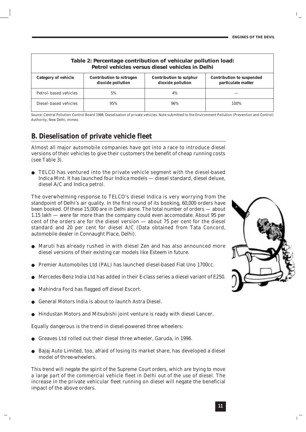| Table 2: Percentage contribution of vehicular pollution load:<br>Petrol vehicles versus diesel vehicles in Delhi |                                                      |                                                     |                                                        |  |
|------------------------------------------------------------------------------------------------------------------|------------------------------------------------------|-----------------------------------------------------|--------------------------------------------------------|--|
| <b>Category of vehicle</b>                                                                                       | <b>Contribution to nitrogen</b><br>dioxide pollution | <b>Contribution to sulphur</b><br>dioxide pollution | <b>Contribution to suspended</b><br>particulate matter |  |
| Petrol- based vehicles                                                                                           | 5%                                                   | 4%                                                  |                                                        |  |
| Diesel- based vehicles                                                                                           | 95%                                                  | 96%                                                 | 100%                                                   |  |

*Source:* Central Pollution Control Board 1998, Dieselisation of private vehicles, Note submitted to the Environment Pollution (Prevention and Control) Authority, New Delhi, *mimeo.*

#### **B. Dieselisation of private vehicle fleet**

Almost all major automobile companies have got into a race to introduce diesel versions of their vehicles to give their customers the benefit of cheap running costs (see Table 3).

TELCO has ventured into the private vehicle segment with the diesel-based Indica Mint. It has launched four Indica models — diesel standard, diesel deluxe, diesel A/C and Indica petrol.

The overwhelming response to TELCO's diesel Indica is very worrying from the standpoint of Delhi's air quality. In the first round of its booking, 60,000 orders have been booked. Of these 15,000 are in Delhi alone. The total number of orders — about 1.15 lakh — were far more than the company could even accomodate. About 95 per cent of the orders are for the diesel version — about 75 per cent for the diesel standard and 20 per cent for diesel A/C (Data obtained from Tata Concord, automobile dealer in Connaught Place, Delhi).

- Maruti has already rushed in with diesel Zen and has also announced more diesel versions of their existing car models like Esteem in future.
- Premier Automobiles Ltd (PAL) has launched diesel-based Fiat Uno 1700cc.
- Mercedes-Benz India Ltd has added in their E-class series a diesel variant of E250.
- Mahindra Ford has flagged off diesel Escort.
- General Motors India is about to launch Astra Diesel.
- Hindustan Motors and Mitsubishi joint venture is ready with diesel Lancer.

Equally dangerous is the trend in diesel-powered three wheelers:

- Greaves Ltd rolled out their diesel three wheeler, Garuda, in 1996.
- Bajaj Auto Limited, too, afraid of losing its market share, has developed a diesel model of three-wheelers.

*This trend will negate the spirit of the Supreme Court orders, which are trying to move a large part of the commercial vehicle fleet in Delhi out of the use of diesel.* The increase in the private vehicular fleet running on diesel will negate the beneficial impact of the above orders.

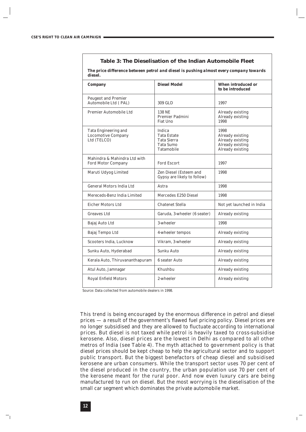#### **Table 3: The Dieselisation of the Indian Automobile Fleet**

*The price difference between petrol and diesel is pushing almost every company towards diesel.* 

| Company                                                          | <b>Diesel Model</b>                                                                         | <b>When introduced or</b><br>to be introduced                                        |
|------------------------------------------------------------------|---------------------------------------------------------------------------------------------|--------------------------------------------------------------------------------------|
| <b>Peugeot and Premier</b><br>Automobile Ltd (PAL)               | 309 GLD                                                                                     | 1997                                                                                 |
| Premier Automobile Ltd                                           | <b>138 NE</b><br><b>Premier Padmini</b><br>Fiat Uno                                         | Already existing<br>Already existing<br>1998                                         |
| Tata Engineering and<br><b>Locomotive Company</b><br>Ltd (TELCO) | Indica<br><b>Tata Estate</b><br><b>Tata Sierra</b><br><b>Tata Sumo</b><br><b>Tatamobile</b> | 1998<br>Already existing<br>Already existing<br>Already existing<br>Already existing |
| Mahindra & Mahindra Ltd with<br><b>Ford Motor Company</b>        | <b>Ford Escort</b>                                                                          | 1997                                                                                 |
| Maruti Udyog Limited                                             | Zen Diesel (Esteem and<br>Gypsy are likely to follow)                                       | 1998                                                                                 |
| General Motors India Ltd                                         | Astra                                                                                       | 1998                                                                                 |
| Mereceds-Benz India Limited                                      | Mercedes E250 Diesel                                                                        | 1998                                                                                 |
| <b>Eicher Motors Ltd</b>                                         | <b>Chatenet Stella</b>                                                                      | Not yet launched in India                                                            |
| <b>Greaves Ltd</b>                                               | Garuda, 3-wheeler (6 seater)                                                                | Already existing                                                                     |
| Bajaj Auto Ltd                                                   | 3-wheeler                                                                                   | 1998                                                                                 |
| Bajaj Tempo Ltd                                                  | 4-wheeler tempos                                                                            | Already existing                                                                     |
| Scooters India, Lucknow                                          | Vikram, 3-wheeler                                                                           | Already existing                                                                     |
| Sunku Auto, Hyderabad                                            | Sunku Auto                                                                                  | Already existing                                                                     |
| Kerala Auto, Thiruvananthapuram                                  | 6 seater Auto                                                                               | Already existing                                                                     |
| Atul Auto, Jamnagar                                              | Khushbu                                                                                     | Already existing                                                                     |
| <b>Royal Enfield Motors</b>                                      | 2-wheeler                                                                                   | Already existing                                                                     |

*Source*: Data collected from automobile dealers in 1998.

This trend is being encouraged by the enormous difference in petrol and diesel prices — a result of the government's flawed fuel pricing policy. Diesel prices are no longer subsidised and they are allowed to fluctuate according to international prices. But diesel is not taxed while petrol is heavily taxed to cross-subsidise kerosene. Also, diesel prices are the lowest in Delhi as compared to all other metros of India (see Table 4). The myth attached to government policy is that diesel prices should be kept cheap to help the agricultural sector and to support public transport. But the biggest benefactors of cheap diesel and subsidised kerosene are urban consumers. While the transport sector uses 70 per cent of the diesel produced in the country, the urban population use 70 per cent of the kerosene meant for the rural poor. And now even luxury cars are being manufactured to run on diesel. But the most worrying is the dieselisation of the small car segment which dominates the private automobile market.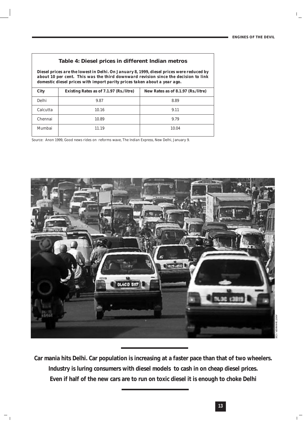#### **Table 4: Diesel prices in different Indian metros**

*Diesel prices are the lowest in Delhi. On January 8, 1999, diesel prices were reduced by about 10 per cent. This was the third downward revision since the decision to link domestic diesel prices with import parity prices taken about a year ago.*

| <b>City</b> | Existing Rates as of 7.1.97 (Rs./litre) | New Rates as of 8.1.97 (Rs./litre) |
|-------------|-----------------------------------------|------------------------------------|
| Delhi       | 9.87                                    | 8.89                               |
| Calcutta    | 10.16                                   | 9.11                               |
| Chennai     | 10.89                                   | 9.79                               |
| Mumbai      | 11.19                                   | 10.04                              |

*Source:* Anon 1999, Good news rides on reforms wave, *The Indian Express*, New Delhi, January 9.



*Car mania hits Delhi. Car population is increasing at a faster pace than that of two wheelers. Industry is luring consumers with diesel models to cash in on cheap diesel prices. Even if half of the new cars are to run on toxic diesel it is enough to choke Delhi*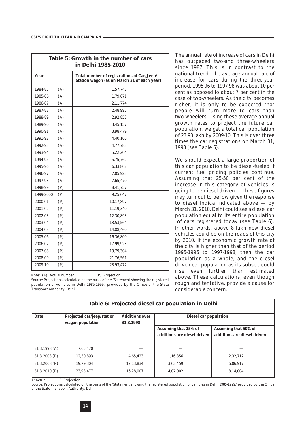| Table 5: Growth in the number of cars<br>in Delhi 1985-2010 |     |                                                                                           |  |  |  |
|-------------------------------------------------------------|-----|-------------------------------------------------------------------------------------------|--|--|--|
| Year                                                        |     | Total number of registrations of Car/Jeep/<br>Station wagon (as on March 31 of each year) |  |  |  |
| 1984-85                                                     | (A) | 1,57,743                                                                                  |  |  |  |
| 1985-86                                                     | (A) | 1,79,671                                                                                  |  |  |  |
| 1986-87                                                     | (A) | 2,11,774                                                                                  |  |  |  |
| 1987-88                                                     | (A) | 2,48,993                                                                                  |  |  |  |
| 1988-89                                                     | (A) | 2,92,853                                                                                  |  |  |  |
| 1989-90                                                     | (A) | 3,45,157                                                                                  |  |  |  |
| 1990-91                                                     | (A) | 3,98,479                                                                                  |  |  |  |
| 1991-92                                                     | (A) | 4,40,166                                                                                  |  |  |  |
| 1992-93                                                     | (A) | 4,77,783                                                                                  |  |  |  |
| 1993-94                                                     | (A) | 5,22,264                                                                                  |  |  |  |
| 1994-95                                                     | (A) | 5,75,762                                                                                  |  |  |  |
| 1995-96                                                     | (A) | 6,33,802                                                                                  |  |  |  |
| 1996-97                                                     | (A) | 7,05,923                                                                                  |  |  |  |
| 1997-98                                                     | (A) | 7,65,470                                                                                  |  |  |  |
| 1998-99                                                     | (P) | 8,41,757                                                                                  |  |  |  |
| 1999-2000                                                   | (P) | 9,25,647                                                                                  |  |  |  |
| 2000-01                                                     | (P) | 10,17,897                                                                                 |  |  |  |
| 2001-02                                                     | (P) | 11,19,340                                                                                 |  |  |  |
| 2002-03                                                     | (P) | 12,30,893                                                                                 |  |  |  |
| 2003-04                                                     | (P) | 13,53,564                                                                                 |  |  |  |
| 2004-05                                                     | (P) | 14,88,460                                                                                 |  |  |  |
| 2005-06                                                     | (P) | 16,36,800                                                                                 |  |  |  |
| 2006-07                                                     | (P) | 17,99,923                                                                                 |  |  |  |
| 2007-08                                                     | (P) | 19,79,304                                                                                 |  |  |  |
| 2008-09                                                     | (P) | 21,76,561                                                                                 |  |  |  |
| 2009-10                                                     | (P) | 23,93,477                                                                                 |  |  |  |

Note: (A): Actual number (P): Projection

*Source:* Projections calculated on the basis of the 'Statement showing the registered population of vehicles in Delhi 1985-1999,' provided by the Office of the State Transport Authority, Delhi.

The annual rate of increase of cars in Delhi has outpaced two-and three-wheelers since 1987. This is in contrast to the national trend. *The average annual rate of increase for cars during the three-year period, 1995-96 to 1997-98 was about 10 per cent as opposed to about 7 per cent in the case of two-wheelers.* As the city becomes richer, it is only to be expected that people will turn more to cars than two-wheelers. Using these average annual growth rates to project the future car population, we get a total car population of 23.93 lakh by 2009-10. This is over three times the car registrations on March 31, 1998 (see Table 5).

We should expect a large proportion of this car population to be diesel-fueled if current fuel pricing policies continue. Assuming that 25-50 per cent of the increase in this category of vehicles is going to be diesel-driven — these figures may turn out to be low given the response to diesel Indica indicated above — by March 31, 2010, Delhi could see a diesel car population equal to its entire population of cars registered today (see Table 6). *In other words, above 8 lakh new diesel vehicles could be on the roads of this city by 2010.* If the economic growth rate of the city is higher than that of the period 1995-1996 to 1997-1998, then the car population as a whole, and the diesel driven car population as its subset, could rise even further than estimated above. These calculations, even though rough and tentative, provide a cause for considerable concern.

| Table 6: Projected diesel car population in Delhi |                                                |                                    |                                                     |                                                            |  |
|---------------------------------------------------|------------------------------------------------|------------------------------------|-----------------------------------------------------|------------------------------------------------------------|--|
| <b>Date</b>                                       | Projected car/jeep/station<br>wagon population | <b>Additions over</b><br>31.3.1998 | <b>Diesel car population</b>                        |                                                            |  |
|                                                   |                                                |                                    | Assuming that 25% of<br>additions are diesel driven | <b>Assuming that 50% of</b><br>additions are diesel driven |  |
| 31.3.1998(A)                                      | 7.65.470                                       |                                    |                                                     |                                                            |  |
| $31.3.2003$ (P)                                   | 12.30.893                                      | 4,65,423                           | 1,16,356                                            | 2.32.712                                                   |  |
| $31.3.2008$ (P)                                   | 19.79.304                                      | 12,13,834                          | 3,03,459                                            | 6.06.917                                                   |  |
| 31.3.2010(P)                                      | 23.93.477                                      | 16,28,007                          | 4,07,002                                            | 8,14,004                                                   |  |

A: Actual P: Projection

*Source:* Projections calculated on the basis of the 'Statement showing the registered population of vehicles in Delhi 1985-1999,' provided by the Office of the State Transport Authority, Delhi.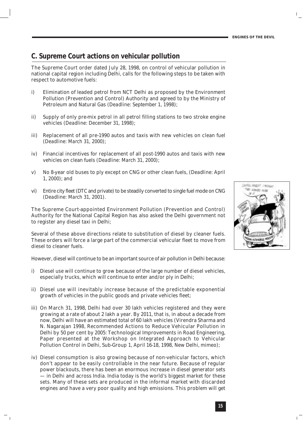#### **C. Supreme Court actions on vehicular pollution**

The Supreme Court order dated July 28, 1998, on control of vehicular pollution in national capital region including Delhi, calls for the following steps to be taken with respect to automotive fuels:

- i) Elimination of leaded petrol from NCT Delhi as proposed by the Environment Pollution (Prevention and Control) Authority and agreed to by the Ministry of Petroleum and Natural Gas (*Deadline: September 1, 1998*);
- ii) Supply of only pre-mix petrol in all petrol filling stations to two stroke engine vehicles (*Deadline: December 31, 1998*);
- iii) Replacement of all pre-1990 autos and taxis with new vehicles on clean fuel (*Deadline: March 31, 2000*);
- iv) Financial incentives for replacement of all post-1990 autos and taxis with new vehicles on clean fuels (*Deadline: March 31, 2000*);
- v) No 8-year old buses to ply except on CNG or other clean fuels, (*Deadline: April 1, 2000*); and
- vi) Entire city fleet (DTC and private) to be steadily converted to single fuel mode on CNG (*Deadline: March 31, 2001*).

The Supreme Court-appointed Environment Pollution (Prevention and Control) Authority for the National Capital Region has also asked the Delhi government not to register any diesel taxi in Delhi;

Several of these above directions relate to substitution of diesel by cleaner fuels. These orders will force a large part of the commercial vehicular fleet to move from diesel to cleaner fuels.

However, diesel will continue to be an important source of air pollution in Delhi because:

- i) Diesel use will continue to grow because of the large number of diesel vehicles, especially trucks, which will continue to enter and/or ply in Delhi;
- ii) Diesel use will inevitably increase because of the predictable exponential growth of vehicles in the public goods and private vehicles fleet;
- iii) On March 31, 1998, Delhi had over 30 lakh vehicles registered and they were growing at a rate of about 2 lakh a year. By 2011, that is, in about a decade from now, Delhi will have an estimated total of 60 lakh vehicles (Virendra Sharma and N. Nagarajan 1998, Recommended Actions to Reduce Vehicular Pollution in Delhi by 50 per cent by 2005: Technological Improvements in Road Engineering, Paper presented at the Workshop on Integrated Approach to Vehicular Pollution Control in Delhi, Sub-Group 1, April 16-18, 1998, New Delhi, *mimeo*);
- iv) Diesel consumption is also growing because of non-vehicular factors, which don't appear to be easily controllable in the near future. Because of regular power blackouts, there has been an enormous increase in diesel generator sets — in Delhi and across India. India today is the world's biggest market for these sets. Many of these sets are produced in the informal market with discarded engines and have a very poor quality and high emissions. This problem will get

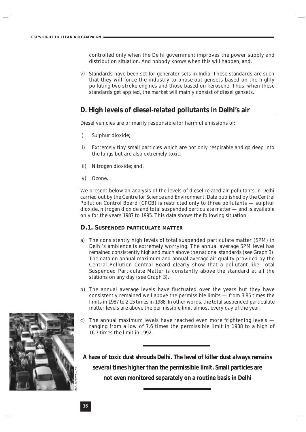controlled only when the Delhi government improves the power supply and distribution situation. And nobody knows when this will happen; and,

v) Standards have been set for generator sets in India. These standards are such that they will force the industry to phase-out gensets based on the highly polluting two-stroke engines and those based on kerosene. Thus, when these standards get applied, the market will mainly consist of diesel gensets.

#### **D. High levels of diesel-related pollutants in Delhi's air**

Diesel vehicles are primarily responsible for harmful emissions of:

- i) Sulphur dioxide;
- ii) Extremely tiny small particles which are not only respirable and go deep into the lungs but are also extremely toxic;
- iii) Nitrogen dioxide; and,
- iv) Ozone.

We present below an analysis of the levels of diesel-related air pollutants in Delhi carried out by the Centre for Science and Environment. Data published by the Central Pollution Control Board (CPCB) is restricted only to three pollutants — sulphur dioxide, nitrogen dioxide and total suspended particulate matter — and is available only for the years 1987 to 1995. This data shows the following situation:

#### **D.1. SUSPENDED PARTICULATE MATTER**

- a) The consistently high levels of total suspended particulate matter (SPM) in Delhi's ambience is extremely worrying. The annual average SPM level has remained consistently high and much above the national standards (see Graph 3). The data on annual maximum and annual average air quality provided by the Central Pollution Control Board clearly show that a pollutant like Total Suspended Particulate Matter is constantly above the standard at all the stations on any day (see Graph 3).
- b) The annual average levels have fluctuated over the years but they have consistently remained well above the permissible limits — from 3.85 times the limits in 1987 to 2.15 times in 1988. In other words, the total suspended particulate matter levels are above the permissible limit almost every day of the year.
- c) The annual maximum levels have reached even more frightening levels ranging from a low of 7.6 times the permissible limit in 1988 to a high of 16.7 times the limit in 1992.

*A haze of toxic dust shrouds Delhi. The level of killer dust always remains several times higher than the permissible limit. Small particles are not even monitored separately on a routine basis in Delhi*

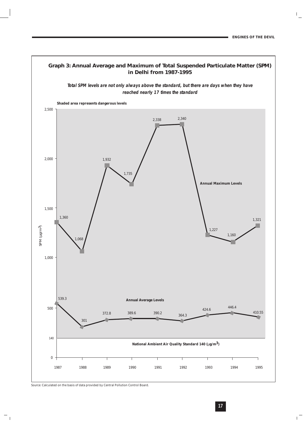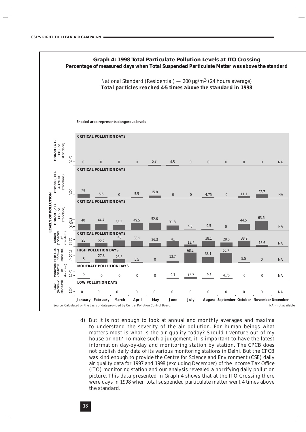

d) But it is not enough to look at annual and monthly averages and maxima to understand the severity of the air pollution. For human beings what matters most is what is the air quality today? Should I venture out of my house or not? To make such a judgement, it is important to have the latest information day-by-day and monitoring station by station. The CPCB does not publish daily data of its various monitoring stations in Delhi. But the CPCB was kind enough to provide the Centre for Science and Environment (CSE) daily air quality data for 1997 and 1998 (excluding December) of the Income Tax Office (ITO) monitoring station and our analysis revealed a horrifying daily pollution picture. This data presented in Graph 4 shows that at the ITO Crossing there were days in 1998 when total suspended particulate matter went 4 times above the standard.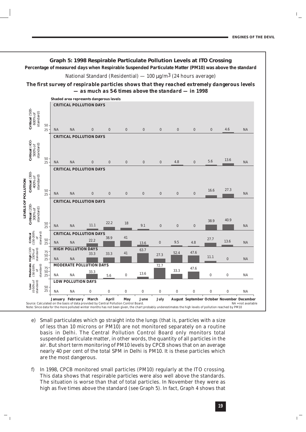#### **Graph 5: 1998 Respirable Particulate Pollution Levels at ITO Crossing Percentage of measured days when Respirable Suspended Particulate Matter (PM10) was above the standard**

National Standard (Residential) — 100  $\mu$ g/m<sup>3</sup> (24 hours average)

*The first survey of respirable particles shows that they reached extremely dangerous levels — as much as 5-6 times above the standard — in 1998*



- e) Small particulates which go straight into the lungs (that is, particles with a size of less than 10 microns or PM10) are not monitored separately on a routine basis in Delhi. The Central Pollution Control Board only monitors total suspended particulate matter, in other words, the quantity of all particles in the air. But short term monitoring of PM10 levels by CPCB shows that on an average nearly 40 per cent of the total SPM in Delhi is PM10. It is these particles which are the most dangerous.
- f) In 1998, CPCB monitored small particles (PM10) regularly at the ITO crossing. This data shows that respirable particles were also well above the standards. The situation is worse than that of total particles. In November they were as high as five times above the standard (see Graph 5). In fact, Graph 4 shows that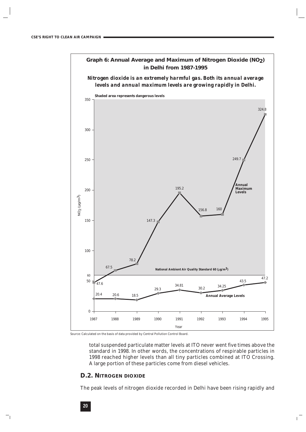

Source: Calculated on the basis of data provided by Central Pollution Control Board.

total suspended particulate matter levels at ITO never went five times above the standard in 1998. In other words, the concentrations of respirable particles in 1998 reached higher levels than all tiny particles combined at ITO Crossing. A large portion of these particles come from diesel vehicles.

#### **D.2. NITROGEN DIOXIDE**

The peak levels of nitrogen dioxide recorded in Delhi have been rising rapidly and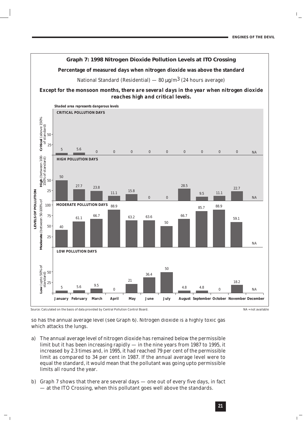

so has the annual average level (see Graph 6). Nitrogen dioxide is a highly toxic gas which attacks the lungs.

- a) The annual average level of nitrogen dioxide has remained below the permissible limit but it has been increasing rapidly — in the nine years from 1987 to 1995, it increased by 2.3 times and, in 1995, it had reached 79 per cent of the permissible limit as compared to 34 per cent in 1987. If the annual average level were to equal the standard, it would mean that the pollutant was going upto permissible limits all round the year.
- b) Graph 7 shows that there are several days one out of every five days, in fact — at the ITO Crossing, when this pollutant goes well above the standards.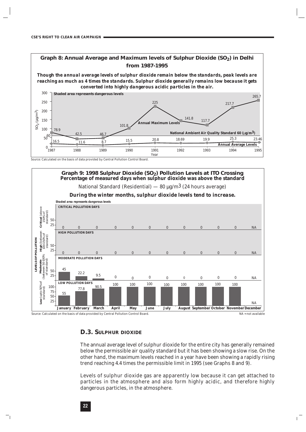#### Graph 8: Annual Average and Maximum levels of Sulphur Dioxide (SO<sub>2</sub>) in Delhi **from 1987-1995**

*Though the annual average levels of sulphur dioxide remain below the standards, peak levels are reaching as much as 4 times the standards. Sulphur dioxide generally remains low because it gets converted into highly dangerous acidic particles in the air.*



*Source*: Calculated on the basis of data provided by Central Pollution Control Board.



#### **D.3. SULPHUR DIOXIDE**

The annual average level of sulphur dioxide for the entire city has generally remained below the permissible air quality standard but it has been showing a slow rise. On the other hand, the maximum levels reached in a year have been showing a rapidly rising trend reaching 4.4 times the permissible limit in 1995 (see Graphs 8 and 9).

Levels of sulphur dioxide gas are apparently low because it can get attached to particles in the atmosphere and also form highly acidic, and therefore highly dangerous particles, in the atmosphere.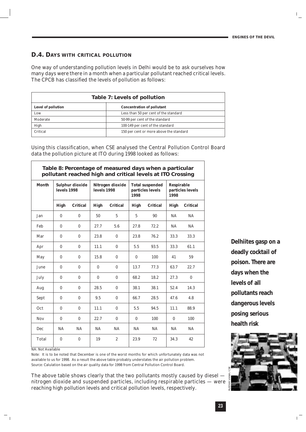**23**

#### **D.4. DAYS WITH CRITICAL POLLUTION**

One way of understanding pollution levels in Delhi would be to ask ourselves how many days were there in a month when a particular pollutant reached critical levels. The CPCB has classified the levels of pollution as follows:

| Table 7: Levels of pollution |                                         |  |
|------------------------------|-----------------------------------------|--|
| <b>Level of pollution</b>    | <b>Concentration of pollutant</b>       |  |
| Low                          | Less than 50 per cent of the standard   |  |
| Moderate                     | 50-99 per cent of the standard          |  |
| High                         | 100-149 per cent of the standard        |  |
| Critical                     | 150 per cent or more above the standard |  |

Using this classification, when CSE analysed the Central Pollution Control Board data the pollution picture at ITO during 1998 looked as follows:

**Table 8: Percentage of measured days when a particular pollutant reached high and critical levels at ITO Crossing Month Sulphur dioxide Nitrogen dioxide Total suspended Respirable levels 1998 levels 1998 particles levels particles levels 1998 1998 High Critical High Critical High Critical High Critical** Jan | 0 0 | 50 5 | 5 90 | NA NA Feb 0 0 27.7 5.6 27.8 72.2 NA NA Mar | 0 0 | 23.8 0 | 23.8 76.2 | 33.3 33.3  $\text{Apr} \quad | \quad 0 \qquad \quad 0 \quad | \quad 11.1 \qquad \quad 0 \qquad | \quad 5.5 \qquad 93.5 \quad | \quad 33.3 \qquad 61.1$ May | 0 0 | 15.8 0 | 0 100 | 41 | 59 June 0 0 0 0 13.7 77.3 63.7 22.7 July 0 0 0 0 68.2 18.2 27.3 0 Aug | 0 0 | 28.5 0 | 38.1 | 38.1 | 52.4 | 14.3 Sept 0 0 9.5 0 66.7 28.5 47.6 4.8 Oct | 0 0 | 11.1 0 | 5.5 94.5 | 11.1 88.9 Nov | 0 0 | 22.7 0 | 0 100 | 0 100 Dec NA NA NA NA NA NA NA NA Total 0 0 19 2 23.9 72 34.3 42

NA: Not Available

*Note:* It is to be noted that December is one of the worst months for which unfortunately data was not available to us for 1998. As a result the above table probably understates the air pollution problem. *Source:* Calulation based on the air quality data for 1998 from Central Pollution Control Board.

The above table shows clearly that the two pollutants mostly caused by diesel nitrogen dioxide and suspended particles, including respirable particles — were reaching high pollution levels and critical pollution levels, respectively.

*Delhiites gasp on a deadly cocktail of poison. There are days when the levels of all pollutants reach dangerous levels posing serious health risk*

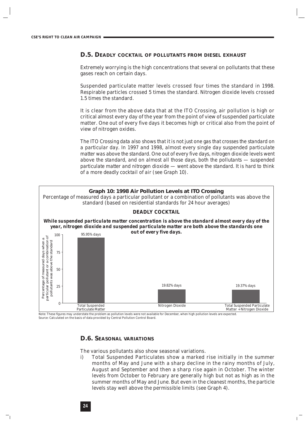#### **D.5. DEADLY COCKTAIL OF POLLUTANTS FROM DIESEL EXHAUST**

Extremely worrying is the high concentrations that several on pollutants that these gases reach on certain days.

Suspended particulate matter levels crossed four times the standard in 1998. Respirable particles crossed 5 times the standard. Nitrogen dioxide levels crossed 1.5 times the standard.

It is clear from the above data that at the ITO Crossing, air pollution is high or critical almost every day of the year from the point of view of suspended particulate matter. One out of every five days it becomes high or critical also from the point of view of nitrogen oxides.

*The ITO Crossing data also shows that it is not just one gas that crosses the standard on a particular day. In 1997 and 1998, almost every single day suspended particulate matter was above the standard. One out of every five days, nitrogen dioxide levels went above the standard, and on almost all those days, both the pollutants — suspended particulate matter and nitrogen dioxide — went above the standard. It is hard to think of a more deadly cocktail of air (see Graph 10).*



Note: These figures may understate the problem as pollution levels were not available for December, when high pollution levels are expected. *Source*: Calculated on the basis of data provided by Central Pollution Control Board.

#### **D.6. SEASONAL VARIATIONS**

The various pollutants also show seasonal variations.

i) Total Suspended Particulates show a marked rise initially in the summer months of May and June with a sharp decline in the rainy months of July, August and September and then a sharp rise again in October. The winter levels from October to February are generally high but not as high as in the summer months of May and June. But even in the cleanest months, the particle levels stay well above the permissible limits (see Graph 4).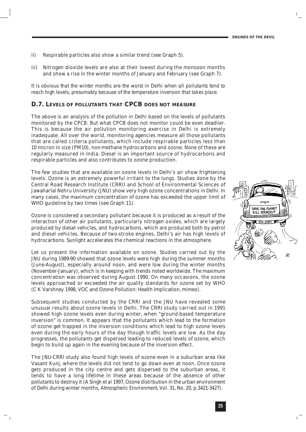- ii) Respirable particles also show a similar trend (see Graph 5).
- iii) Nitrogen dioxide levels are also at their lowest during the monsoon months and show a rise in the winter months of January and February (see Graph 7).

*It is obvious that the winter months are the worst in Delhi when all pollutants tend to reach high levels, presumably because of the temperature inversion that takes place.* 

#### **D.7. LEVELS OF POLLUTANTS THAT CPCB DOES NOT MEASURE**

The above is an analysis of the pollution in Delhi based on the levels of pollutants monitored by the CPCB. But what CPCB does not monitor could be even deadlier. This is because the air pollution monitoring exercise in Delhi is extremely inadequate. All over the world, monitoring agencies measure all those pollutants that are called criteria pollutants, which include respirable particles less than 10 micron in size (PM10), non-methane hydrocarbons and ozone. None of these are regularly measured in India. Diesel is an important source of hydrocarbons and respirable particles and also contributes to ozone production.

The few studies that are available on ozone levels in Delhi's air show frightening levels. Ozone is an extremely powerful irritant to the lungs. Studies done by the Central Road Research Institute (CRRI) and School of Environmental Sciences of Jawaharlal Nehru University (JNU) show very high ozone concentrations in Delhi. In many cases, the maximum concentration of ozone has exceeded the upper limit of WHO guideline by two times (see Graph 11).

Ozone is considered a secondary pollutant because it is produced as a result of the interaction of other air pollutants, particularly nitrogen oxides, which are largely produced by diesel vehicles, and hydrocarbons, which are produced both by petrol and diesel vehicles. Because of two-stroke engines, Delhi's air has high levels of hydrocarbons. Sunlight accelerates the chemical reactions in the atmosphere.

Let us present the information available on ozone. Studies carried out by the JNU during 1989-90 showed that ozone levels were high during the summer months (June-August), especially around noon, and were low during the winter months (November-January), which is in keeping with trends noted worldwide. The maximum concentration was observed during August 1990. On many occasions, the ozone levels approached or exceeded the air quality standards for ozone set by WHO (C K Varshney 1998, VOC and Ozone Pollution: Health Implication, *mimeo*).

Subsequent studies conducted by the CRRI and the JNU have revealed some unusual results about ozone levels in Delhi. The CRRI study carried out in 1991 showed high ozone levels even during winter, when "ground-based temperature inversion" is common. It appears that the pollutants which lead to the formation of ozone get trapped in the inversion conditions which lead to high ozone levels even during the early hours of the day though traffic levels are low. As the day progresses, the pollutants get dispersed leading to reduced levels of ozone, which begin to build up again in the evening because of the inversion effect.

The JNU-CRRI study also found high levels of ozone even in a suburban area like Vasant Kunj, where the levels did not tend to go down even at noon. Once ozone gets produced in the city centre and gets dispersed to the suburban areas, it tends to have a long lifetime in these areas because of the absence of other pollutants to destroy it (A Singh *et al* 1997, Ozone distribution in the urban environment of Delhi during winter months, *Atmospheric Environment*, Vol. 31, No. 20, p.3421-3427).

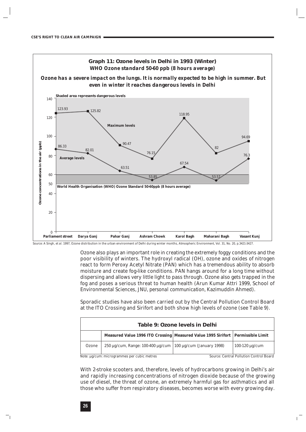

*Source*: A Singh, *et al.* 1997, Ozone distribution in the urban environment of Delhi during winter months, *Atmospheric Environment, Vol. 31, No. 20, p.3421-3427.*

Ozone also plays an important role in creating the extremely foggy conditions and the poor visibility of winters. The hydroxyl radical (OH), ozone and oxides of nitrogen react to form Peroxy Acetyl Nitrate (PAN) which has a tremendous ability to absorb moisture and create fog-like conditions. PAN hangs around for a long time without dispersing and allows very little light to pass through. Ozone also gets trapped in the fog and poses a serious threat to human health (Arun Kumar Attri 1999, School of Environmental Sciences, JNU, *personal communication,* Kazimuddin Ahmed).

Sporadic studies have also been carried out by the Central Pollution Control Board at the ITO Crossing and Sirifort and both show high levels of ozone (see Table 9).

|       | Table 9: Ozone levels in Delhi                                                      |  |                                                |  |  |
|-------|-------------------------------------------------------------------------------------|--|------------------------------------------------|--|--|
|       | Measured Value 1996 ITO Crossing   Measured Value 1995 Sirifort   Permissible Limit |  |                                                |  |  |
| Ozone | 250 μg/cum, Range: 100-400 μg/cum   100 μg/cum (January 1998)                       |  | 100-120 $\mu$ g/cum                            |  |  |
|       | <i>Note:</i> ug/cum: microgrammes per cubic metres                                  |  | <b>Source: Central Pollution Control Board</b> |  |  |

With 2-stroke scooters and, therefore, levels of hydrocarbons growing in Delhi's air and rapidly increasing concentrations of nitrogen dioxide because of the growing use of diesel, the threat of ozone, an extremely harmful gas for asthmatics and all those who suffer from respiratory diseases, becomes worse with every growing day.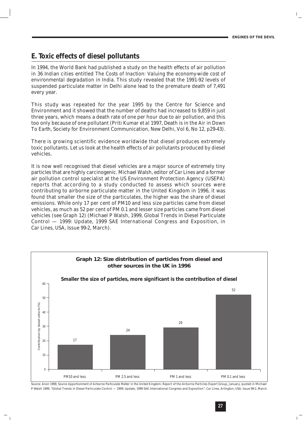#### **E. Toxic effects of diesel pollutants**

In 1994, the World Bank had published a study on the health effects of air pollution in 36 Indian cities entitled *The Costs of Inaction: Valuing the economy-wide cost of environmental degradation in India*. This study revealed that the 1991-92 levels of suspended particulate matter in Delhi alone lead to the premature death of 7,491 every year.

This study was repeated for the year 1995 by the Centre for Science and Environment and it showed that the number of deaths had increased to 9,859 in just three years, which means a death rate of one per hour due to air pollution, and this too only because of one pollutant (Priti Kumar *et al* 1997, Death is in the Air in *Down To Earth*, Society for Environment Communication, New Delhi, Vol 6, No 12, p29-43).

There is growing scientific evidence worldwide that diesel produces extremely toxic pollutants. Let us look at the health effects of air pollutants produced by diesel vehicles.

It is now well recognised that diesel vehicles are a major source of extremely tiny particles that are highly carcinogenic. Michael Walsh, editor of *Car Lines* and a former air pollution control specialist at the US Environment Protection Agency (USEPA) reports that according to a study conducted to assess which sources were contributing to airborne particulate matter in the United Kingdom in 1996, it was found that smaller the size of the particulates, the higher was the share of diesel emissions. While only 17 per cent of PM10 and less size particles came from diesel vehicles, as much as 52 per cent of PM 0.1 and lesser size particles came from diesel vehicles (see Graph 12) (Michael P Walsh, 1999, Global Trends in Diesel Particulate Control — 1999: Update, 1999 SAE International Congress and Exposition, in *Car Lines*, USA, Issue 99-2, March).



*Source*: Anon 1999, *Source Apportionment of Airborne Particulate Matter in the United Kingdom,* Report of the Airborne Particles Expert Group, January, quoted in Michael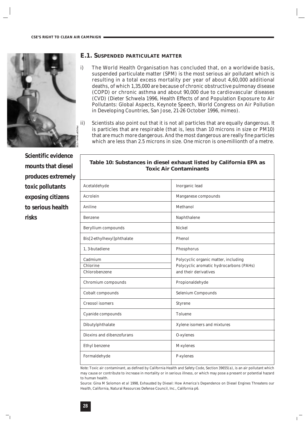

*Scientific evidence mounts that diesel produces extremely toxic pollutants exposing citizens to serious health risks*

#### **E.1. SUSPENDED PARTICULATE MATTER**

- i) The World Health Organisation has concluded that, on a worldwide basis, suspended particulate matter (SPM) is the most serious air pollutant which is resulting in a total excess mortality per year of about 4,60,000 additional deaths, of which 1,35,000 are because of chronic obstructive pulmonay disease (COPD) or chronic asthma and about 90,000 due to cardiovascular diseases (CVD) (Dieter Schwela 1996, Health Effects of and Population Exposure to Air Pollutants: Global Aspects, Keynote Speech, World Congress on Air Pollution in Developing Countries, San Jose, 21-26 October 1996, *mimeo*).
- ii) Scientists also point out that it is not all particles that are equally dangerous. It is particles that are respirable (that is, less than 10 microns in size or PM10) that are much more dangerous. And the most dangerous are really fine particles which are less than 2.5 microns in size. One micron is one-millionth of a metre.

| Acetaldehyde                         | Inorganic lead                                                                                           |
|--------------------------------------|----------------------------------------------------------------------------------------------------------|
| Acrolein                             | Manganese compounds                                                                                      |
| Aniline                              | Methanol                                                                                                 |
| <b>Benzene</b>                       | Naphthalene                                                                                              |
| Beryllium compounds                  | <b>Nickel</b>                                                                                            |
| Bis[2-ethylhexyl]phthalate           | Phenol                                                                                                   |
| 1.3-butadiene                        | Phosphorus                                                                                               |
| Cadmium<br>Chlorine<br>Chlorobenzene | Polycyclic organic matter, including<br>Polycyclic aromatic hydrocarbons (PAHs)<br>and their derivatives |
| Chromium compounds                   | Propionaldehyde                                                                                          |
| Cobalt compounds                     | Selenium Compounds                                                                                       |
| <b>Creosol</b> isomers               | <b>Styrene</b>                                                                                           |
| Cyanide compounds                    | Toluene                                                                                                  |
| Dibutylphthalate                     | Xylene isomers and mixtures                                                                              |
| Dioxins and dibenzofurans            | O-xylenes                                                                                                |
| Ethyl benzene                        | M-xylenes                                                                                                |
| Formaldehyde                         | P-xylenes                                                                                                |

**Table 10: Substances in diesel exhaust listed by California EPA as Toxic Air Contaminants**

*Note:* Toxic air contaminant, as defined by California Health and Safety Code, Section *39655(a)*, is an air pollutant which may cause or contribute to increase in mortality or in serious illness, or which may pose a present or potential hazard to human health.

*Source:* Gina M Solomon *et al* 1998, *Exhausted by Diesel: How America's Dependence on Diesel Engines Threatens our Health*, California, Natural Resources Defense Council, Inc., California p6.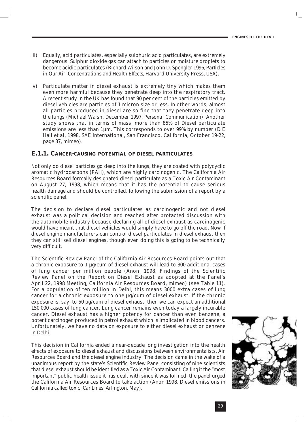- iii) Equally, acid particulates, especially sulphuric acid particulates, are extremely dangerous. Sulphur dioxide gas can attach to particles or moisture droplets to become acidic particulates (Richard Wilson and John D. Spengler 1996, *Particles in Our Air: Concentrations and Health Effects*, Harvard University Press, USA).
- iv) Particulate matter in diesel exhaust is extremely tiny which makes them even more harmful because they penetrate deep into the respiratory tract. A recent study in the UK has found that 90 per cent of the particles emitted by diesel vehicles are particles of 1 micron size or less. In other words, almost all particles produced in diesel are so fine that they penetrate deep into the lungs (Michael Walsh, December 1997, *Personal Communication*). Another study shows that in terms of mass, more than 85% of Diesel particulate emissions are less than 1µm. This corresponds to over 99% by number (D E Hall *et al,* 1998, SAE International, San Francisco, California, October 19-22, page 37, *mimeo*).

#### **E.1.1. CANCER-CAUSING POTENTIAL OF DIESEL PARTICULATES**

Not only do diesel particles go deep into the lungs, they are coated with polycyclic aromatic hydrocarbons (PAH), which are highly carcinogenic. The California Air Resources Board formally designated diesel particulate as a Toxic Air Contaminant on August 27, 1998, which means that it has the potential to cause serious health damage and should be controlled, following the submission of a report by a scientific panel.

The decision to declare diesel particulates as carcinogenic and not diesel exhaust was a political decision and reached after protacted discussion with the automobile industry because declaring all of diesel exhaust as carcinogenic would have meant that diesel vehicles would simply have to go off the road. Now if diesel engine manufacturers can control diesel particulates in diesel exhaust then they can still sell diesel engines, though even doing this is going to be technically very difficult.

The Scientific Review Panel of the California Air Resources Board points out that a chronic exposure to 1 µg/cum of diesel exhaust will lead to 300 additional cases of lung cancer per million people (Anon, 1998, Findings of the Scientific Review Panel on the Report on Diesel Exhaust as adopted at the Panel's April 22, 1998 Meeting, California Air Resources Board, *mimeo*) (see Table 11). For a population of ten million in Delhi, this means 3000 extra cases of lung cancer for a chronic exposure to one µg/cum of diesel exhaust. If the chronic exposure is, say, to 50 µg/cum of diesel exhaust, then we can expect an additional 150,000 cases of lung cancer. Lung cancer remains even today a largely incurable cancer. Diesel exhaust has a higher potency for cancer than even benzene, a potent carcinogen produced in petrol exhaust which is implicated in blood cancers. Unfortunately, we have no data on exposure to either diesel exhaust or benzene in Delhi.

This decision in California ended a near-decade long investigation into the health effects of exposure to diesel exhaust and discussions between environmentalists, Air Resources Board and the diesel engine industry. The decision came in the wake of a unanimous report by the state's Scientific Review Panel consisting of nine scientists that diesel exhaust should be identified as a Toxic Air Contaminant. Calling it the "most important" public health issue it has dealt with since it was formed, the panel urged the California Air Resources Board to take action (Anon 1998, Diesel emissions in California called toxic, *Car Lines*, Arlington, May).

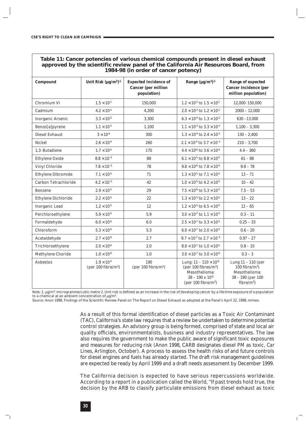#### **Table 11: Cancer potencies of various chemical compounds present in diesel exhaust approved by the scientific review panel of the California Air Resources Board, from 1984-98 (in order of cancer potency)**

| <b>Compound</b>            | Unit Risk $(\mu g/m^3)^{-1}$                    | <b>Expected Incidence of</b><br><b>Cancer</b> (per million<br>population) | Range $(\mu g/m^3)^{-1}$                                                                                                             | <b>Range of expected</b><br><b>Cancer Incidence (per</b><br>million population)                           |
|----------------------------|-------------------------------------------------|---------------------------------------------------------------------------|--------------------------------------------------------------------------------------------------------------------------------------|-----------------------------------------------------------------------------------------------------------|
| Chromium VI                | $1.5 \times 10^{.1}$                            | 150,000                                                                   | $1.2\times10^{\text{-}2}$ to $1.5\times10^{\text{-}1}$                                                                               | 12,000-150,000                                                                                            |
| Cadmium                    | $4.2 \times 10^{-3}$                            | 4.200                                                                     | $2.0\times10^{\text{-}3}$ to $1.2\times10^{\text{-}2}$                                                                               | $2000 - 12,000$                                                                                           |
| <b>Inorganic Arsenic</b>   | $3.3\times10^{\text{-}3}$                       | 3,300                                                                     | $6.3\times10^{\text{-}4}$ to $1.3\times10^{\text{-}2}$                                                                               | $630 - 13,000$                                                                                            |
| Benzo[a]pyrene             | $1.1 \times 10^{-3}$                            | 1,100                                                                     | $1.1\times10^{\text{-}3}$ to $3.3\times10^{\text{-}3}$                                                                               | $1,100 - 3,300$                                                                                           |
| Diesel Exhaust             | $3\times10^{\text{-}4}$                         | 300                                                                       | $1.3\times10^4$ to $2.4\times10^3$                                                                                                   | $130 - 2,400$                                                                                             |
| Nickel                     | $2.6 \times 10^{-4}$                            | 260                                                                       | $2.1 \times 10^{-4}$ to $3.7 \times 10^{-3}$                                                                                         | $210 - 3,700$                                                                                             |
| 1,3- Butadiene             | $1.7 \times 10^{-4}$                            | 170                                                                       | $4.4 \times 10^{6}$ to $3.6 \times 10^{4}$                                                                                           | $4.4 - 360$                                                                                               |
| Ethylene Oxide             | $8.8\times10^{-5}$                              | 88                                                                        | $6.1\times10^{\text{-}5}$ to $8.8\times10^{\text{-}5}$                                                                               | $61 - 88$                                                                                                 |
| Vinyl Chloride             | $7.8\times10^{-5}$                              | 78                                                                        | $9.8 \times 10^{6}$ to $7.8 \times 10^{5}$                                                                                           | $9.8 - 78$                                                                                                |
| <b>Ethylene Dibromide</b>  | $7.1\times10^{\text{-}5}$                       | 71                                                                        | $1.3\times10^{\text{-}5}$ to $7.1\times10^{\text{-}5}$                                                                               | $13 - 71$                                                                                                 |
| Carbon Tetrachloride       | $4.2 \times 10^{-5}$                            | 42                                                                        | $1.0 \times 10^{5}$ to $4.2 \times 10^{5}$                                                                                           | $10 - 42$                                                                                                 |
| <b>Benzene</b>             | $2.9 \times 10^{-5}$                            | 29                                                                        | $7.5\times10^{\text{-}6}$ to $5.3\times10^{\text{-}5}$                                                                               | $7.5 - 53$                                                                                                |
| <b>Ethylene Dichloride</b> | $2.2 \times 10^{-5}$                            | $22\,$                                                                    | $1.3 \times 10^{-5}$ to $2.2 \times 10^{-5}$                                                                                         | $13 - 22$                                                                                                 |
| <b>Inorganic Lead</b>      | $1.2\times10^{\text{-}5}$                       | 12                                                                        | $1.2\times10^{\text{-}5}$ to $6.5\times10^{\text{-}5}$                                                                               | $12 - 65$                                                                                                 |
| Perchloroethylene          | $5.9 \times 10^{-6}$                            | 5.9                                                                       | $3.0 \times 10^{7}$ to $1.1 \times 10^{5}$                                                                                           | $0.3 - 11$                                                                                                |
| Formaldehyde               | $6.0\times10^{\text{-}6}$                       | 6.0                                                                       | $2.5\times10^{\text{-}7}$ to $3.3\times10^{\text{-}5}$                                                                               | $0.25 - 33$                                                                                               |
| Chloroform                 | $5.3\times10^{.6}$                              | 5.3                                                                       | $6.0\times10^{\text{-}7}$ to $2.0\times10^{\text{-}5}$                                                                               | $0.6 - 20$                                                                                                |
| Acetaldehyde               | $2.7 \times 10^{-6}$                            | 2.7                                                                       | $9.7 \times 10^{3}$ to $2.7 \times 10^{-5}$                                                                                          | $0.97 - 27$                                                                                               |
| Trichloroethylene          | $2.0\times10^{\text{-}6}$                       | 2.0                                                                       | $8.0 \times 10^{7}$ to $1.0 \times 10^{5}$                                                                                           | $0.8 - 10$                                                                                                |
| Methylene Choride          | $1.0 \times 10^{-6}$                            | 1.0                                                                       | $3.0 \times 10^{7}$ to $3.0 \times 10^{6}$                                                                                           | $0.3 - 3$                                                                                                 |
| <b>Asbestos</b>            | $1.9 \times 10^{-4}$<br>(per 100 fibre/ $m^3$ ) | 190<br>(per 100 fibre/ $m^3$ )                                            | Lung: $11 - 110 \times 10^{-6}$<br>(per 100 fibres/ $m^3$ )<br>Mesothelioma:<br>$38 - 190 \times 10^{-6}$<br>(per 100 fibre/ $m^3$ ) | Lung $11 - 110$ (per<br>$100$ fibre/m <sup>3</sup> )<br>Mesothelioma:<br>38 - 190 (per 100<br>$fibre/m^3$ |

*Note:* 1. µg/m<sup>3</sup>: microgramme/cubic metre 2. Unit risk is defined as an increase in the risk of developing cancer by a life-time exposure of a population to a chemical at an ambient concentration of  $\mu$ g/m<sup>3</sup>.

*Source:* Anon 1998, Findings of the Scientific Review Panel on The Report on Diesel Exhaust as adopted at the Panel's April 22, 1998, *mimeo*.

As a result of this formal identification of diesel particles as a Toxic Air Contaminant (TAC), California's state law requires that a review be undertaken to determine potential control strategies. An advisory group is being formed, comprised of state and local air quality officials, environmentalists, business and industry representatives. The law also requires the government to make the public aware of significant toxic exposures and measures for reducing risk (Anon 1998, CARB designates diesel PM as toxic, *Car Lines*, Arlington, October). A process to assess the health risks of and future controls for diesel engines and fuels has already started. The draft risk management guidelines are expected be ready by April 1999 and a draft needs assessment by December 1999.

The California decision is expected to have serious repercussions worldwide. According to a report in a publication called the *World*, "If past trends hold true, the decision by the ARB to classify particulate emissions from diesel exhaust as toxic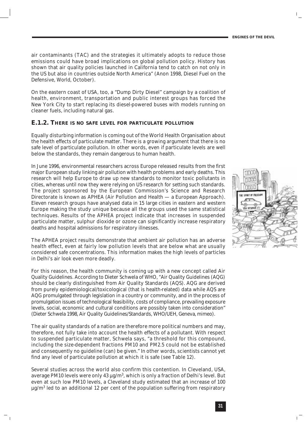air contaminants (TAC) and the strategies it ultimately adopts to reduce those emissions could have broad implications on global pollution policy. History has shown that air quality policies launched in California tend to catch on not only in the US but also in countries outside North America" (Anon 1998, Diesel Fuel on the Defensive, *World*, October).

On the eastern coast of USA, too, a "Dump Dirty Diesel" campaign by a coalition of health, environment, transportation and public interest groups has forced the New York City to start replacing its diesel-powered buses with models running on cleaner fuels, including natural gas.

#### **E.1.2. THERE IS NO SAFE LEVEL FOR PARTICULATE POLLUTION**

Equally disturbing information is coming out of the World Health Organisation about the health effects of particulate matter. There is a growing argument that there is no safe level of particulate pollution. In other words, even if particulate levels are well below the standards, they remain dangerous to human health.

In June 1996, environmental researchers across Europe released results from the first major European study linking air pollution with health problems and early deaths. This research will help Europe to draw up new standards to monitor toxic pollutants in cities, whereas until now they were relying on US research for setting such standards. The project sponsored by the European Commission's Science and Research Directorate is known as APHEA (Air Pollution and Health — a European Approach). Eleven research groups have analysed data in 15 large cities in eastern and western Europe making the study unique because all the groups used the same statistical techniques. Results of the APHEA project indicate that increases in suspended particulate matter, sulphur dioxide or ozone can significantly increase respiratory deaths and hospital admissions for respiratory illnesses.

The APHEA project results demonstrate that ambient air pollution has an adverse health effect, even at fairly low pollution levels that are below what are usually considered safe concentrations. This information makes the high levels of particles in Delhi's air look even more deadly.

For this reason, the health community is coming up with a new concept called Air Quality Guidelines. According to Dieter Schwela of WHO, "Air Quality Guidelines (AQG) should be clearly distinguished from Air Quality Standards (AQS). AQG are derived from purely epidemiological/toxicological (that is health-related) data while AQS are AQG promulgated through legislation in a country or community, and in the process of promulgation issues of technological feasibility, costs of compliance, prevailing exposure levels, social, economic and cultural conditions are possibly taken into consideration" (Dieter Schwela 1998, Air Quality Guidelines/Standards, WHO/UEH, Geneva, *mimeo*).

The air quality standards of a nation are therefore more political numbers and may, therefore, not fully take into account the health effects of a pollutant. With respect to suspended particulate matter, Schwela says, "a threshold for this compound, including the size-dependent fractions PM10 and PM2.5 could not be established and consequently no guideline (can) be given." In other words, scientists cannot yet find any level of particulate pollution at which it is safe (see Table 12).

Several studies across the world also confirm this contention. In Cleveland, USA, average PM10 levels were only 43  $\mu$ g/m<sup>3</sup>, which is only a fraction of Delhi's level. But even at such low PM10 levels, a Cleveland study estimated that an increase of 100  $\mu$ g/m<sup>3</sup> led to an additional 12 per cent of the population suffering from respiratory

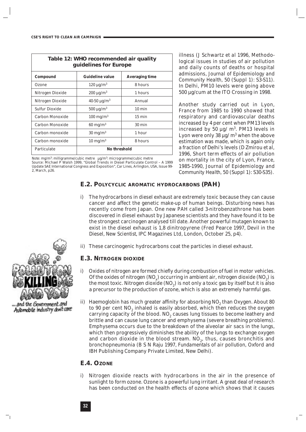| Table 12: WHO recommended air quality<br>guidelines for Europe |                        |                       |  |  |
|----------------------------------------------------------------|------------------------|-----------------------|--|--|
| <b>Compound</b>                                                | <b>Guideline value</b> | <b>Averaging time</b> |  |  |
| Ozone                                                          | $120 \mu g/m^3$        | 8 hours               |  |  |
| Nitrogen Dioxide                                               | $200 \mu g/m^3$        | 1 hours               |  |  |
| Nitrogen Dioxide                                               | $40-50 \mu g/m^3$      | Annual                |  |  |
| <b>Sulfur Dioxide</b>                                          | $500 \mu g/m^3$        | $10 \text{ min}$      |  |  |
| Carbon Monoxide                                                | $100 \text{ mg/m}^3$   | $15 \text{ min}$      |  |  |
| Carbon Monoxide                                                | $60 \text{ mg/m}^3$    | $30 \text{ min}$      |  |  |
| Carbon monoxide                                                | $30 \text{ mg/m}^3$    | 1 hour                |  |  |
| Carbon monoxide                                                | $10 \text{ mg/m}^3$    | 8 hours               |  |  |
| Particulate                                                    | No threshold           |                       |  |  |

*Note:* mg/m3: milligramme/cubic metre µg/m3: microgramme/cubic metre *Source:* Michael P Walsh 1999, "Global Trends in Diesel Particulate Control – A 1999 Update SAE International Congress and Exposition", *Car Lines,* Arlington, USA, Issue 99- 2, March, p26.

illness (J Schwartz *et al* 1996, Methodological issues in studies of air pollution and daily counts of deaths or hospital admissions, *Journal of Epidemiology and Community Health*, 50 (Suppl 1): S3-S11). In Delhi, PM10 levels were going above 500 µg/cum at the ITO Crossing in 1998.

Another study carried out in Lyon, France from 1985 to 1990 showed that respiratory and cardiovascular deaths increased by 4 per cent when PM13 levels increased by 50  $\mu$ g/ m<sup>3</sup>. PM13 levels in Lyon were only 38  $\mu$ g/ m<sup>3</sup> when the above estimation was made, which is again only a fraction of Delhi's levels (D Zmirou *et al*, 1996, Short term effects of air pollution on mortality in the city of Lyon, France, 1985-1990, *Journal of Epidemiology and Community Health*, 50 (Suppl 1): S30-S35).

#### **E.2. POLYCYCLIC AROMATIC HYDROCARBONS (PAH)**

- i) The hydrocarbons in diesel exhaust are extremely toxic because they can cause cancer and affect the genetic make-up of human beings. Disturbing news has recently come from Japan. One new PAH called 3-nitrobenzathrone has been discovered in diesel exhaust by Japanese scientists and they have found it to be the strongest carcinogen analysed till date. Another powerful mutagen known to exist in the diesel exhaust is 1,8 dinitropyrene (Fred Pearce 1997, Devil in the Diesel, *New Scientist*, IPC Magazines Ltd, London, October 25, p4).
- ii) These carcinogenic hydrocarbons coat the particles in diesel exhaust.

#### **E.3. NITROGEN DIOXIDE**

- i) Oxides of nitrogen are formed chiefly during combustion of fuel in motor vehicles. Of the oxides of nitrogen  $(NO<sub>x</sub>)$  occurring in ambient air, nitrogen dioxide  $(NO<sub>y</sub>)$  is the most toxic. Nitrogen dioxide  $(NO<sub>2</sub>)$  is not only a toxic gas by itself but it is also a precursor to the production of ozone, which is also an extremely harmful gas.
- ii) Haemoglobin has much greater affinity for absorbing NO<sub>2</sub> than Oxygen. About 80 to 90 per cent NO<sub>2</sub> inhaled is easily absorbed, which then reduces the oxygen carrying capacity of the blood. NO<sub>2</sub> causes lung tissues to become leathery and brittle and can cause lung cancer and emphysema (severe breathing problems). Emphysema occurs due to the breakdown of the alveolar air sacs in the lungs, which then progressively diminishes the ability of the lungs to exchange oxygen and carbon dioxide in the blood stream.  $NO<sub>2</sub>$ , thus, causes bronchitis and bronchopneumonia (B S N Raju 1997, *Fundamentals of air pollution*, Oxford and IBH Publishing Company Private Limited, New Delhi).

#### **E.4. OZONE**

i) Nitrogen dioxide reacts with hydrocarbons in the air in the presence of sunlight to form ozone. Ozone is a powerful lung irritant. A great deal of research has been conducted on the health effects of ozone which shows that it causes



... and the Government and Automobile industry don't care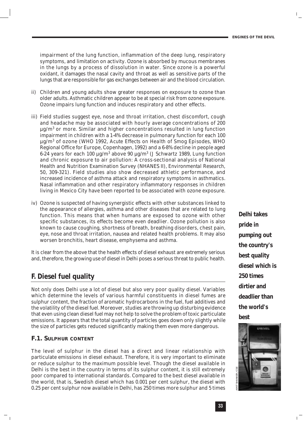impairment of the lung function, inflammation of the deep lung, respiratory symptoms, and limitation on activity. Ozone is absorbed by mucous membranes in the lungs by a process of dissolution in water. Since ozone is a powerful oxidant, it damages the nasal cavity and throat as well as sensitive parts of the lungs that are responsible for gas exchanges between air and the blood circulation.

- ii) Children and young adults show greater responses on exposure to ozone than older adults. Asthmatic children appear to be at special risk from ozone exposure. Ozone impairs lung function and induces respiratory and other effects.
- iii) Field studies suggest eye, nose and throat irritation, chest discomfort, cough and headache may be associated with hourly average concentrations of 200  $\mu$ g/m<sup>3</sup> or more. Similar and higher concentrations resulted in lung function impairment in children with a 1-4% decrease in pulmonary function for each 100 µg/m3 of ozone (WHO 1992, *Acute Effects on Health of Smog Episodes*, WHO Regional Office for Europe, Copenhagen, 1992) and a 6-8% decline in people aged 6-24 years for each 100  $\mu$ g/m<sup>3</sup> above 90  $\mu$ g/m<sup>3</sup> (J Schwartz 1989, Lung function and chronic exposure to air pollution: A cross-sectional analysis of National Health and Nutrition Examination Survey (NHANES II), *Environmental Research*, 50, 309-321). Field studies also show decreased athletic performance, and increased incidence of asthma attack and respiratory symptoms in asthmatics. Nasal inflammation and other respiratory inflammatory responses in children living in Mexico City have been reported to be associated with ozone exposure.
- iv) Ozone is suspected of having synergistic effects with other substances linked to the appearance of allergies, asthma and other diseases that are related to lung function. This means that when humans are exposed to ozone with other specific substances, its effects become even deadlier. Ozone pollution is also known to cause coughing, shortness of breath, breathing disorders, chest pain, eye, nose and throat irritation, nausea and related health problems. It may also worsen bronchitis, heart disease, emphysema and asthma.

It is clear from the above that the health effects of diesel exhaust are extremely serious and, therefore, the growing use of diesel in Delhi poses a serious threat to public health.

#### **F. Diesel fuel quality**

Not only does Delhi use a lot of diesel but also very poor quality diesel. Variables which determine the levels of various harmful constituents in diesel fumes are sulphur content, the fraction of aromatic hydrocarbons in the fuel, fuel additives and the volatility of the diesel fuel. Moreover, studies are throwing up disturbing evidence that even using clean diesel fuel may not help to solve the problem of toxic particulate emissions. It appears that the total quantity of particles goes down only slightly while the size of particles gets reduced significantly making them even more dangerous.

#### **F.1. SULPHUR CONTENT**

The level of sulphur in the diesel has a direct and linear relationship with particulate emissions in diesel exhaust. Therefore, it is very important to eliminate or reduce sulphur to the maximum possible level. Though the diesel available in Delhi is the best in the country in terms of its sulphur content, it is still extremely poor compared to international standards. Compared to the best diesel available in the world, that is, Swedish diesel which has 0.001 per cent sulphur, the diesel with 0.25 per cent sulphur now available in Delhi, has 250 times more sulphur and 5 times

*Delhi takes pride in pumping out the country's best quality diesel which is 250 times dirtier and deadlier than the world's best*

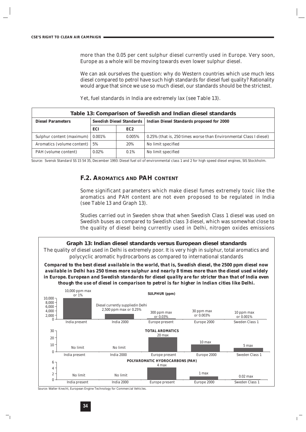more than the 0.05 per cent sulphur diesel currently used in Europe. Very soon, Europe as a whole will be moving towards even lower sulphur diesel.

We can ask ourselves the question: why do Western countries which use much less diesel compared to petrol have such high standards for diesel fuel quality? Rationality would argue that since we use so much diesel, our standards should be the strictest.

Yet, fuel standards in India are extremely lax (see Table 13).

| Table 13: Comparison of Swedish and Indian diesel standards |        |           |                                                                    |  |
|-------------------------------------------------------------|--------|-----------|--------------------------------------------------------------------|--|
| <b>Swedish Diesel Standards</b><br><b>Diesel Parameters</b> |        |           | <b>Indian Diesel Standards proposed for 2000</b>                   |  |
|                                                             | ECI    | EC2       |                                                                    |  |
| Sulphur content (maximum)                                   | 0.001% | $0.005\%$ | 0.25% (that is, 250 times worse than Environmental Class I diesel) |  |
| Aromatics (volume content)                                  | 5%     | 20%       | No limit specified                                                 |  |
| PAH (volume content)<br>$0.02\%$                            |        | 0.1%      | No limit specified                                                 |  |

*Source*: Svensk Standard SS 15 54 35, December 1993: Diesel fuel oil of environmental class 1 and 2 for high speed diesel engines, SIS Stockholm.

#### **F.2. AROMATICS AND PAH CONTENT**

Some significant parameters which make diesel fumes extremely toxic like the aromatics and PAH content are not even proposed to be regulated in India (see Table 13 and Graph 13).

Studies carried out in Sweden show that when Swedish Class 1 diesel was used on Swedish buses as compared to Swedish class 3 diesel, which was somewhat close to the quality of diesel being currently used in Delhi, nitrogen oxides emissions

**Graph 13: Indian diesel standards versus European diesel standards** The quality of diesel used in Delhi is extremely poor. It is very high in sulphur, total aromatics and polycyclic aromatic hydrocarbons as compared to international standards

*Compared to the best diesel available in the world, that is, Swedish diesel, the 2500 ppm diesel now available in Delhi has 250 times more sulphur and nearly 8 times more than the diesel used widely in Europe. European and Swedish standards for diesel quality are far stricter than that of India even though the use of diesel in comparison to petrol is far higher in Indian cities like Delhi.*



*Source*: Walter Knecht, European Engine Technology for Commercial Vehicles.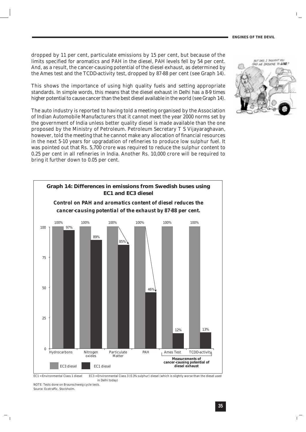dropped by 11 per cent, particulate emissions by 15 per cent, but because of the limits specified for aromatics and PAH in the diesel, PAH levels fell by 54 per cent. And, as a result, the cancer-causing potential of the diesel exhaust, as determined by the Ames test and the TCDD-activity test, dropped by 87-88 per cent (see Graph 14).

This shows the importance of using high quality fuels and setting appropriate standards. In simple words, this means that the diesel exhaust in Delhi has a 8-9 times higher potential to cause cancer than the best diesel available in the world (see Graph 14).

The auto industry is reported to having told a meeting organised by the Association of Indian Automobile Manufacturers that it cannot meet the year 2000 norms set by the government of India unless better quality diesel is made available than the one proposed by the Ministry of Petroleum. Petroleum Secretary T S Vijayaraghavan, however, told the meeting that he cannot make any allocation of financial resources in the next 5-10 years for upgradation of refineries to produce low sulphur fuel. It was pointed out that Rs. 5,700 crore was required to reduce the sulphur content to 0.25 per cent in all refineries in India. Another Rs. 10,000 crore will be required to bring it further down to 0.05 per cent.



EC1 = Environmental Class 1 diesel EC3 = Environmental Class 3 (0.3% sulphur) diesel (which is slightly worse than the diesel used in Delhi today)

NOTE: Tests done on Braunschweig cycle tests. *Source*: Ecotraffic, Stockholm.

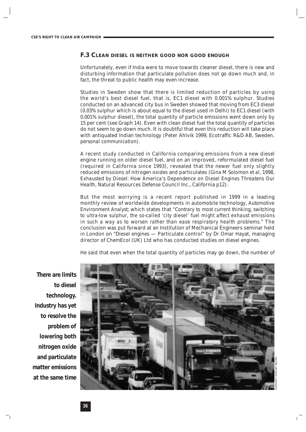#### **F.3 CLEAN DIESEL IS NEITHER GOOD NOR GOOD ENOUGH**

Unfortunately, even if India were to move towards cleaner diesel, there is new and disturbing information that particulate pollution does not go down much and, in fact, the threat to public health may even increase.

Studies in Sweden show that there is limited reduction of particles by using the world's best diesel fuel, that is, EC1 diesel with 0.001% sulphur. Studies conducted on an advanced city bus in Sweden showed that moving from EC3 diesel (0.03% sulphur which is about equal to the diesel used in Delhi) to EC1 diesel (with 0.001% sulphur diesel), the total quantity of particle emissions went down only by 15 per cent (see Graph 14). Even with clean diesel fuel the total quantity of particles do not seem to go down much. It is doubtful that even this reduction will take place with antiquated Indian technology (Peter Ahlvik 1999, Ecotraffic R&D AB, Sweden, *personal communication*).

A recent study conducted in California comparing emissions from a new diesel engine running on older diesel fuel, and on an improved, reformulated diesel fuel (required in California since 1993), revealed that the newer fuel only slightly reduced emissions of nitrogen oxides and particulates (Gina M Solomon *et al,* 1998, *Exhausted by Diesel: How America's Dependence on Diesel Engines Threatens Our Health*, Natural Resources Defense Council Inc., California p12).

But the most worrying is a recent report published in 1999 in a leading monthly review of worldwide developments in automobile technology, *Automotive Environment Analyst*; which states that "*Contrary to most current thinking, switching to ultra-low sulphur, the so-called 'city diesel' fuel might affect exhaust emissions in such a way as to worsen rather than ease respiratory health problems.*" The conclusion was put forward at an Institution of Mechanical Engineers seminar held in London on "Diesel engines — Particulate control" by Dr Omar Hayat, managing director of ChemEcol (UK) Ltd who has conducted studies on diesel engines.

He said that even when the total quantity of particles may go down, the number of

*There are limits to diesel technology. Industry has yet to resolve the problem of lowering both nitrogen oxide and particulate matter emissions at the same time*

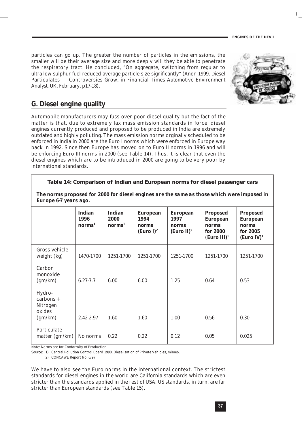particles can go up. The greater the number of particles in the emissions, the smaller will be their average size and more deeply will they be able to penetrate the respiratory tract. He concluded, "On aggregate, switching from regular to ultra-low sulphur fuel reduced average particle size significantly" (Anon 1999, Diesel Particulates — Controversies Grow, in *Financial Times Automotive Environment Analyst*, UK, February, p17-18).



#### **G. Diesel engine quality**

Automobile manufacturers may fuss over poor diesel quality but the fact of the matter is that, due to extremely lax mass emission standards in force, diesel engines currently produced and proposed to be produced in India are extremely outdated and highly polluting. The mass emission norms orginally scheduled to be enforced in India in 2000 are the Euro I norms which were enforced in Europe way back in 1992. Since then Europe has moved on to Euro II norms in 1996 and will be enforcing Euro III norms in 2000 (see Table 14). Thus, it is clear that even the diesel engines which are to be introduced in 2000 are going to be very poor by international standards.

**Table 14: Comparison of Indian and European norms for diesel passenger cars**

| The norms proposed for 2000 for diesel engines are the same as those which were imposed in |  |
|--------------------------------------------------------------------------------------------|--|
| <b>Europe 6-7 years ago.</b>                                                               |  |

|                                                               | <b>Indian</b><br>1996<br>norms <sup>1</sup> | <b>Indian</b><br>2000<br>norms <sup>1</sup> | <b>European</b><br>1994<br>norms<br>(Euro I) $^2$ | <b>European</b><br>1997<br>norms<br>(Euro II) <sup>2</sup> | <b>Proposed</b><br><b>European</b><br>norms<br>for 2000<br>$(Func \text{ III})^1$ | <b>Proposed</b><br><b>European</b><br>norms<br>for 2005<br>(Euro IV) <sup>1</sup> |
|---------------------------------------------------------------|---------------------------------------------|---------------------------------------------|---------------------------------------------------|------------------------------------------------------------|-----------------------------------------------------------------------------------|-----------------------------------------------------------------------------------|
| Gross vehicle<br>weight (kg)                                  | 1470-1700                                   | 1251-1700                                   | 1251-1700                                         | 1251-1700                                                  | 1251-1700                                                                         | 1251-1700                                                                         |
| Carbon<br>monoxide<br>(gm/km)                                 | $6.27 - 7.7$                                | 6.00                                        | 6.00                                              | 1.25                                                       | 0.64                                                                              | 0.53                                                                              |
| Hydro-<br>$carbons +$<br><b>Nitrogen</b><br>oxides<br>(gm/km) | 2.42-2.97                                   | 1.60                                        | 1.60                                              | 1.00                                                       | 0.56                                                                              | 0.30                                                                              |
| Particulate<br>matter $(gm/km)$                               | No norms                                    | 0.22                                        | 0.22                                              | 0.12                                                       | 0.05                                                                              | 0.025                                                                             |

Note: Norms are for Conformity of Production

*Source:* 1) Central Pollution Control Board 1998, Dieselisation of Private Vehicles, *mimeo*.

2) CONCAWE Report No. 6/97

We have to also see the Euro norms in the international context. The strictest standards for diesel engines in the world are California standards which are even stricter than the standards applied in the rest of USA. US standards, in turn, are far stricter than European standards (see Table 15).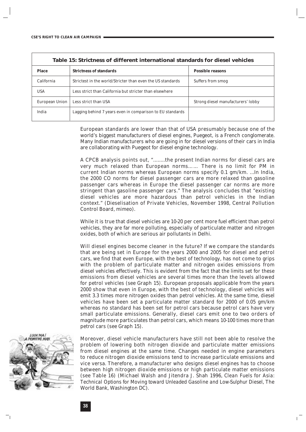| Table 15: Strictness of different international standards for diesel vehicles |                                                            |                                    |  |  |
|-------------------------------------------------------------------------------|------------------------------------------------------------|------------------------------------|--|--|
| <b>Place</b>                                                                  | <b>Strictness of standards</b>                             | <b>Possible reasons</b>            |  |  |
| California                                                                    | Strictest in the world/Stricter than even the US standards | Suffers from smog                  |  |  |
| <b>USA</b>                                                                    | Less strict than California but stricter than elsewhere    |                                    |  |  |
| European Union                                                                | Less strict than USA                                       | Strong diesel manufacturers' lobby |  |  |
| India                                                                         | Lagging behind 7 years even in comparison to EU standards  |                                    |  |  |

European standards are lower than that of USA presumably because one of the world's biggest manufacturers of diesel engines, Puegeot, is a French conglomerate. Many Indian manufacturers who are going in for diesel versions of their cars in India are collaborating with Puegeot for diesel engine technology.

A CPCB analysis points out, "........the present Indian norms for diesel cars are very much relaxed than European norms…… There is no limit for PM in current Indian norms whereas European norms specify 0.1 gm/km. ...In India, the 2000 CO norms for diesel passenger cars are more relaxed than gasoline passenger cars whereas in Europe the diesel passenger car norms are more stringent than gasoline passenger cars." The analysis concludes that "existing diesel vehicles are more hazardous than petrol vehicles in the Indian context." (Dieselisation of Private Vehicles, November 1998, Central Pollution Control Board, *mimeo*).

While it is true that diesel vehicles are 10-20 per cent more fuel efficient than petrol vehicles, they are far more polluting, especially of particulate matter and nitrogen oxides, both of which are serious air pollutants in Delhi.

Will diesel engines become cleaner in the future? If we compare the standards that are being set in Europe for the years 2000 and 2005 for diesel and petrol cars, we find that even Europe, with the best of technology, has not come to grips with the problem of particulate matter and nitrogen oxides emissions from diesel vehicles effectively. This is evident from the fact that the limits set for these emissions from diesel vehicles are several times more than the levels allowed for petrol vehicles (see Graph 15). European proposals applicable from the years 2000 show that even in Europe, with the best of technology, diesel vehicles will emit 3.3 times more nitrogen oxides than petrol vehicles. At the same time, diesel vehicles have been set a particulate matter standard for 2000 of 0.05 gm/km whereas no standard has been set for petrol cars because petrol cars have very small particulate emissions. Generally, diesel cars emit one to two orders of magnitude more particulates than petrol cars, which means 10-100 times more than petrol cars (see Graph 15).



Moreover, diesel vehicle manufacturers have still not been able to resolve the problem of lowering both nitrogen dioxide and particulate matter emissions from diesel engines at the same time. Changes needed in engine parameters to reduce nitrogen dioxide emissions tend to increase particulate emissions and vice versa. Therefore, a manufacturer who designs diesel engines has to choose between high nitrogen dioxide emissions or high particulate matter emissions (see Table 16) (Michael Walsh and Jitendra J. Shah 1996, *Clean Fuels for Asia: Technical Options for Moving toward Unleaded Gasoline and Low-Sulphur Diesel*, The World Bank, Washington DC).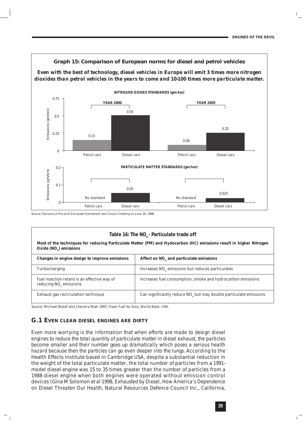

**Graph 15: Comparison of European norms for diesel and petrol vehicles**

*Source*: Decision of the joint European Parliament and Council meeting on June 30, 1998.

#### Table 16: The NO<sub>v</sub> - Particulate trade off

**Most of the techniques for reducing Particulate Matter (PM) and Hydocarbon (HC) emissions result in higher Nitrogen Oxide (NO<sub>v</sub>) emissions** 

| Changes in engine design to improve emissions                             | Affect on NO <sub>v</sub> and particulate emissions                           |
|---------------------------------------------------------------------------|-------------------------------------------------------------------------------|
| Turbocharging                                                             | Increases NO <sub>x</sub> emissions but reduces particulates                  |
| Fuel injection retard is an effective way of<br>reducing $NO_x$ emissions | Increases fuel consumption, smoke and hydrocarbon emissions                   |
| Exhaust gas recirculation technique                                       | Can significantly reduce NO <sub>v</sub> but may double particulate emissions |

*Source:* Michael Walsh and Jitendra Shah 1997, *Clean Fuel for Asia*, World Bank, USA.

#### **G.1 EVEN CLEAN DIESEL ENGINES ARE DIRTY**

*Even more worrying is the information that when efforts are made to design diesel engines to reduce the total quantity of particulate matter in diesel exhaust, the particles become smaller and their number goes up dramatically which poses a serious health hazard because then the particles can go even deeper into the lungs.* According to the Health Effects Institute based in Cambridge USA, despite a substantial reduction in the weight of the total particulate matter, the total number of particles from a 1991 model diesel engine was 15 to 35 times greater than the number of particles from a 1988 diesel engine when both engines were operated without emission control devices (Gina M Solomon *et al* 1998, *Exhausted by Diesel, How America's Dependence on Diesel Threaten Our Health*, Natural Resources Defence Council Inc., California,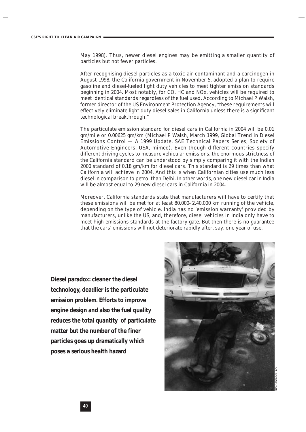May 1998). Thus, newer diesel engines may be emitting a smaller quantity of particles but not fewer particles.

After recognising diesel particles as a toxic air contaminant and a carcinogen in August 1998, the California government in November 5, adopted a plan to require gasoline and diesel-fueled light duty vehicles to meet tighter emission standards beginning in 2004. Most notably, for CO, HC and NOx, vehicles will be required to meet identical standards regardless of the fuel used. According to Michael P Walsh, former director of the US Environment Protection Agency, "these requirements will effectively eliminate light duty diesel sales in California unless there is a significant technological breakthrough."

The particulate emission standard for diesel cars in California in 2004 will be 0.01 gm/mile or 0.00625 gm/km (Michael P Walsh, March 1999, Global Trend in Diesel Emissions Control — A 1999 Update, SAE Technical Papers Series, Society of Automotive Engineers, USA, *mimeo*). Even though different countries specify different driving cycles to measure vehicular emissions, the enormous strictness of the California standard can be understood by simply comparing it with the Indian 2000 standard of 0.18 gm/km for diesel cars. This standard is 29 times than what California will achieve in 2004. And this is when Californian cities use much less diesel in comparison to petrol than Delhi. In other words, one new diesel car in India will be almost equal to 29 new diesel cars in California in 2004.

Moreover, California standards state that manufacturers will have to certify that these emissions will be met for at least 80,000- 2,40,000 km running of the vehicle, depending on the type of vehicle. India has no 'emission warranty' provided by manufacturers, unlike the US, and, therefore, diesel vehicles in India only have to meet high emissions standards at the factory gate. But then there is no guarantee that the cars' emissions will not deteriorate rapidly after, say, one year of use.

*Diesel paradox: cleaner the diesel technology, deadlier is the particulate emission problem. Efforts to improve engine design and also the fuel quality reduces the total quantity of particulate matter but the number of the finer particles goes up dramatically which poses a serious health hazard*

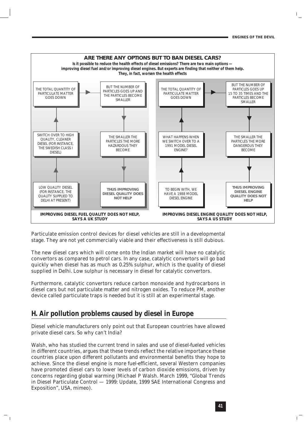

Particulate emission control devices for diesel vehicles are still in a developmental stage. They are not yet commercially viable and their effectiveness is still dubious.

The new diesel cars which will come onto the Indian market will have no catalytic convertors as compared to petrol cars. In any case, catalytic convertors will go bad quickly when diesel has as much as 0.25% sulphur, which is the quality of diesel supplied in Delhi. Low sulphur is necessary in diesel for catalytic convertors.

Furthermore, catalytic convertors reduce carbon monoxide and hydrocarbons in diesel cars but not particulate matter and nitrogen oxides. To reduce PM, another device called particulate traps is needed but it is still at an experimental stage.

#### **H. Air pollution problems caused by diesel in Europe**

Diesel vehicle manufacturers only point out that European countries have allowed private diesel cars. So why can't India?

Walsh, who has studied the current trend in sales and use of diesel-fueled vehicles in different countries, argues that these trends reflect the relative importance these countries place upon different pollutants and environmental benefits they hope to achieve. Since the diesel engine is more fuel-efficient, several Western companies have promoted diesel cars to lower levels of carbon dioxide emissions, driven by concerns regarding global warming (Michael P Walsh. March 1999, "Global Trends in Diesel Particulate Control — 1999: Update, 1999 SAE International Congress and Exposition", USA, *mimeo*).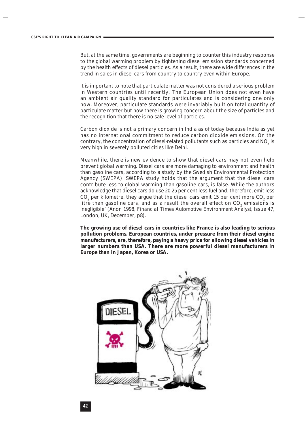But, at the same time, governments are beginning to counter this industry response to the global warming problem by tightening diesel emission standards concerned by the health effects of diesel particles. As a result, there are wide differences in the trend in sales in diesel cars from country to country even within Europe.

It is important to note that particulate matter was not considered a serious problem in Western countries until recently. The European Union does not even have an ambient air quality standard for particulates and is considering one only now. Moreover, particulate standards were invariably built on total quantity of particulate matter but now there is growing concern about the size of particles and the recognition that there is no safe level of particles.

Carbon dioxide is not a primary concern in India as of today because India as yet has no international commitment to reduce carbon dioxide emissions. On the contrary, the concentration of diesel-related pollutants such as particles and  $NO<sub>x</sub>$  is very high in severely polluted cities like Delhi.

Meanwhile, there is new evidence to show that diesel cars may not even help prevent global warming. Diesel cars are more damaging to environment and health than gasoline cars, according to a study by the Swedish Environmental Protection Agency (SWEPA). SWEPA study holds that the argument that the diesel cars contribute less to global warming than gasoline cars, is false. While the authors acknowledge that diesel cars do use 20-25 per cent less fuel and, therefore, emit less CO<sub>2</sub> per kilometre, they argue that the diesel cars emit 15 per cent more  $CO<sub>2</sub>$  per litre than gasoline cars, and as a result the overall effect on  $CO<sub>2</sub>$  emissions is 'negligible' (Anon 1998, *Financial Times Automotive Environment Analyst,* Issue 47, London, UK, December, p8).

**The growing use of diesel cars in countries like France is also leading to serious pollution problems. European countries, under pressure from their diesel engine manufacturers, are, therefore, paying a heavy price for allowing diesel vehicles in larger numbers than USA. There are more powerful diesel manufacturers in Europe than in Japan, Korea or USA.** 

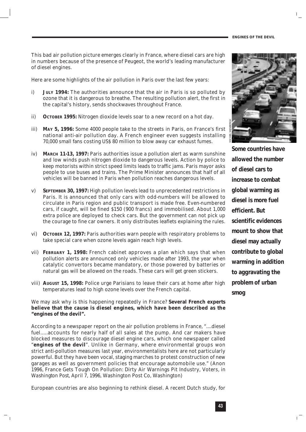This bad air pollution picture emerges clearly in France, where diesel cars are high in numbers because of the presence of Peugeot, the world's leading manufacturer of diesel engines.

Here are some highlights of the air pollution in Paris over the last few years:

- i) **JULY 1994:** The authorities announce that the air in Paris is so polluted by ozone that it is dangerous to breathe. The resulting pollution alert, the first in the capital's history, sends shockwaves throughout France.
- ii) **OCTOBER 1995:** Nitrogen dioxide levels soar to a new record on a hot day.
- iii) **MAY 5, 1996:** Some 4000 people take to the streets in Paris, on France's first national anti-air pollution day. A French engineer even suggests installing 70,000 small fans costing US\$ 80 million to blow away car exhaust fumes.
- iv) **MARCH 11-13, 1997:** Paris authorities issue a pollution alert as warm sunshine and low winds push nitrogen dioxide to dangerous levels. Action by police to keep motorists within strict speed limits leads to traffic jams. Paris mayor asks people to use buses and trains. The Prime Minister announces that half of all vehicles will be banned in Paris when pollution reaches dangerous levels.
- v) **SEPTEMBER 30, 1997:** High pollution levels lead to unprecedented restrictions in Paris. It is announced that only cars with odd-numbers will be allowed to circulate in Paris region and public transport is made free. Even-numbered cars, if caught, will be fined \$150 (900 francs) and immobilised. About 1,000 extra police are deployed to check cars. But the government can not pick up the courage to fine car owners. It only distributes leaflets explaining the rules.
- vi) **OCTOBER 12, 1997:** Paris authorities warn people with respiratory problems to take special care when ozone levels again reach high levels.
- vii) **FEBRUARY 1, 1998:** French cabinet approves a plan which says that when pollution alerts are announced only vehicles made after 1993, the year when catalytic convertors became mandatory, or those powered by batteries or natural gas will be allowed on the roads. These cars will get green stickers.
- viii) **AUGUST 15, 1998:** Police urge Parisians to leave their cars at home after high temperatures lead to high ozone levels over the French capital.

We may ask why is this happening repeatedly in France? **Several French experts believe that the cause is diesel engines, which have been described as the "engines of the devil".**

According to a newspaper report on the air pollution problems in France, "....diesel fuel.....accounts for nearly half of all sales at the pump. And car makers have blocked measures to discourage diesel engine cars, which one newspaper called "**engines of the devil**". Unlike in Germany, where environmental groups won strict anti-pollution measures last year, environmentalists here are not particularly powerful. But they have been vocal, staging marches to protest construction of new garages as well as government policies that encourage automobile use." (Anon 1996, France Gets Tough On Pollution: Dirty Air Warnings Pit Industry, Voters, in *Washington Post*, April 7, 1996, Washington Post Co, Washington)

European countries are also beginning to rethink diesel. A recent Dutch study, for



*Some countries have allowed the number of diesel cars to increase to combat global warming as diesel is more fuel efficient. But scientific evidences mount to show that diesel may actually contribute to global warming in addition to aggravating the problem of urban smog*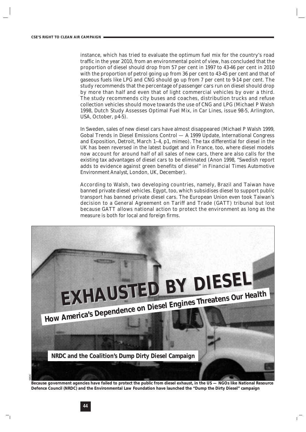instance, which has tried to evaluate the optimum fuel mix for the country's road traffic in the year 2010, from an environmental point of view, has concluded that the proportion of diesel should drop from 57 per cent in 1997 to 43-46 per cent in 2010 with the proportion of petrol going up from 36 per cent to 43-45 per cent and that of gaseous fuels like LPG and CNG should go up from 7 per cent to 9-14 per cent. The study recommends that the percentage of passenger cars run on diesel should drop by more than half and even that of light commercial vehicles by over a third. The study recommends city buses and coaches, distribution trucks and refuse collection vehicles should move towards the use of CNG and LPG (Michael P Walsh 1998, Dutch Study Assesses Optimal Fuel Mix, in *Car Lines*, issue 98-5, Arlington, USA, October, p4-5).

In Sweden, sales of new diesel cars have almost disappeared (Michael P Walsh 1999, Gobal Trends in Diesel Emissions Control — A 1999 Update, International Congress and Exposition, Detroit, March 1–4, p1, *mimeo*). The tax differential for diesel in the UK has been reversed in the latest budget and in France, too, where diesel models now account for around half of all sales of new cars, there are also calls for the existing tax advantages of diesel cars to be eliminated (Anon 1998, "Swedish report adds to evidence against green benefits of diesel" in *Financial Times Automotive Environment Analyst*, London, UK, December).

According to Walsh, two developing countries, namely, Brazil and Taiwan have banned private diesel vehicles. Egypt, too, which subsidises diesel to support public transport has banned private diesel cars. The European Union even took Taiwan's decision to a General Agreement on Tariff and Trade (GATT) tribunal but lost because GATT allows national action to protect the environment as long as the measure is both for local and foreign firms.



*Because government agencies have failed to protect the public from diesel exhaust, in the US — NGOs like National Resource Defence Council (NRDC) and the Environmental Law Foundation have launched the "Dump the Dirty Diesel" campaign*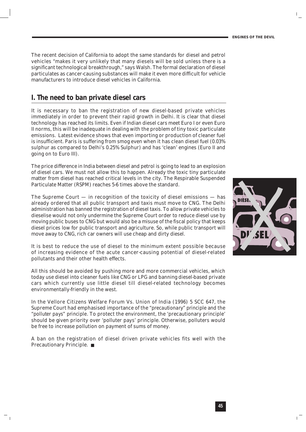The recent decision of California to adopt the same standards for diesel and petrol vehicles "makes it very unlikely that many diesels will be sold unless there is a significant technological breakthrough," says Walsh. The formal declaration of diesel particulates as cancer-causing substances will make it even more difficult for vehicle manufacturers to introduce diesel vehicles in California.

#### **I. The need to ban private diesel cars**

It is necessary to ban the registration of new diesel-based private vehicles immediately in order to prevent their rapid growth in Delhi. It is clear that diesel technology has reached its limits. Even if Indian diesel cars meet Euro I or even Euro II norms, this will be inadequate in dealing with the problem of tiny toxic particulate emissions. Latest evidence shows that even importing or production of cleaner fuel is insufficient. Paris is suffering from smog even when it has clean diesel fuel (0.03% sulphur as compared to Delhi's 0.25% Sulphur) and has 'clean' engines (Euro II and going on to Euro III).

The price difference in India between diesel and petrol is going to lead to an explosion of diesel cars. We must not allow this to happen. Already the toxic tiny particulate matter from diesel has reached critical levels in the city. The Respirable Suspended Particulate Matter (RSPM) reaches 5-6 times above the standard.

The Supreme Court  $-$  in recognition of the toxicity of diesel emissions  $-$  has already ordered that all public transport and taxis must move to CNG. The Delhi administration has banned the registration of diesel taxis. To allow private vehicles to dieselise would not only undermine the Supreme Court order to reduce diesel use by moving public buses to CNG but would also be a misuse of the fiscal policy that keeps diesel prices low for public transport and agriculture. So, while public transport will move away to CNG, rich car owners will use cheap and dirty diesel.

It is best to reduce the use of diesel to the minimum extent possible because of increasing evidence of the acute cancer-causing potential of diesel-related pollutants and their other health effects.

All this should be avoided by pushing more and more commercial vehicles, which today use diesel into cleaner fuels like CNG or LPG and banning diesel-based private cars which currently use little diesel till diesel-related technology becomes environmentally-friendly in the west.

In the Vellore Citizens Welfare Forum Vs. Union of India (1996) 5 SCC 647, the Supreme Court had emphasised importance of the *"precautionary" principle* and the *"polluter pays" principle*. To protect the environment, the 'precautionary principle' should be given priority over 'polluter pays' principle. Otherwise, polluters would be free to increase pollution on payment of sums of money.

A ban on the registration of diesel driven private vehicles fits well with the Precautionary Principle. ■

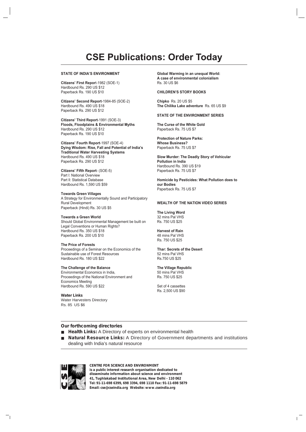#### **CSE Publications: Order Today**

#### **STATE OF INDIA'S ENVIRONMENT**

**Citizens' First Repor**t-1982 (SOE-1) Hardbound Rs. 290 US \$12 Paperback Rs. 190 US \$10

**Citizens' Second Report**-1984-85 (SOE-2) Hardbound Rs. 490 US \$18 Paperback Rs. 290 US \$12

**Citizens' Third Report**-1991 (SOE-3) **Floods, Floodplains & Environmental Myths** Hardbound Rs. 290 US \$12 Paperback Rs. 190 US \$10

**Citizens' Fourth Report**-1997 (SOE-4) **Dying Wisdom: Rise, Fall and Potential of India's Traditional Water Harvesting Systems** Hardbound Rs. 490 US \$18 Paperback Rs. 290 US \$12

**Citizens' Fifth Report**- (SOE-5) Part l: National Overview Part ll: Statistical Database Hardbound Rs. 1,590 US \$59

**Towards Green Villages** A Strategy for Environmentally Sound and Participatory Rural Development Paperback (Hindi) Rs. 30 US \$5

**Towards a Green World** Should Global Environmental Management be built on Legal Conventions or Human Rights? Hardbound Rs. 350 US \$18 Paperback Rs. 200 US \$10

**The Price of Forests** Proceedings of a Seminar on the Economics of the Sustainable use of Forest Resources Hardbound Rs. 180 US \$22

#### **The Challenge of the Balance**

Environmental Economics in India, Proceedings of the National Environment and Economics Meeting Hardbound Rs. 590 US \$22

**Water Links** Water Harvesters Directory Rs. 85 US \$6

**Global Warming in an unequal World: A case of environmental colonialism** Rs. 30 US \$6

#### **CHILDREN'S STORY BOOKS**

**Chipko** Rs. 20 US \$5 **The Chilika Lake adventure** Rs. 65 US \$9

#### **STATE OF THE ENVIRONMENT SERIES**

**The Curse of the White Gold** Paperback Rs. 75 US \$7

**Protection of Nature Parks: Whose Business?** Paperback Rs. 75 US \$7

**Slow Murder: The Deadly Story of Vehicular Pollution in India** Hardbound Rs. 390 US \$19 Paperback Rs. 75 US \$7

**Homicide by Pesticides: What Pollution does to our Bodies** Paperback Rs. 75 US \$7

#### **WEALTH OF THE NATION VIDEO SERIES**

**The Living Word** 32 mins Pal VHS Rs. 750 US \$25

#### **Harvest of Rain**

48 mins Pal VHS Rs. 750 US \$25

#### **Thar: Secrets of the Desert**

52 mins Pal VHS Rs.750 US \$25

#### **The Village Republic**

50 mins Pal VHS Rs. 750 US \$25

Set of 4 cassettes Rs. 2,500 US \$90

#### **Our forthcoming directories**

- **Health Links:** A Directory of experts on environmental health
- **Natural Resource Links:** A Directory of Government departments and institutions dealing with India's natural resource



**CENTRE FOR SCIENCE AND ENVIRONMENT**  *is a public interest research organisation dedicated to disseminate information about science and environment* **41, Tughlakabad Institutional Area, New Delhi - 110 062 Tel: 91-11-698 6399, 698 3394, 698 1110 Fax: 91-11-698 5879 Email: cse@cseindia.org Website: www.cseindia.org**